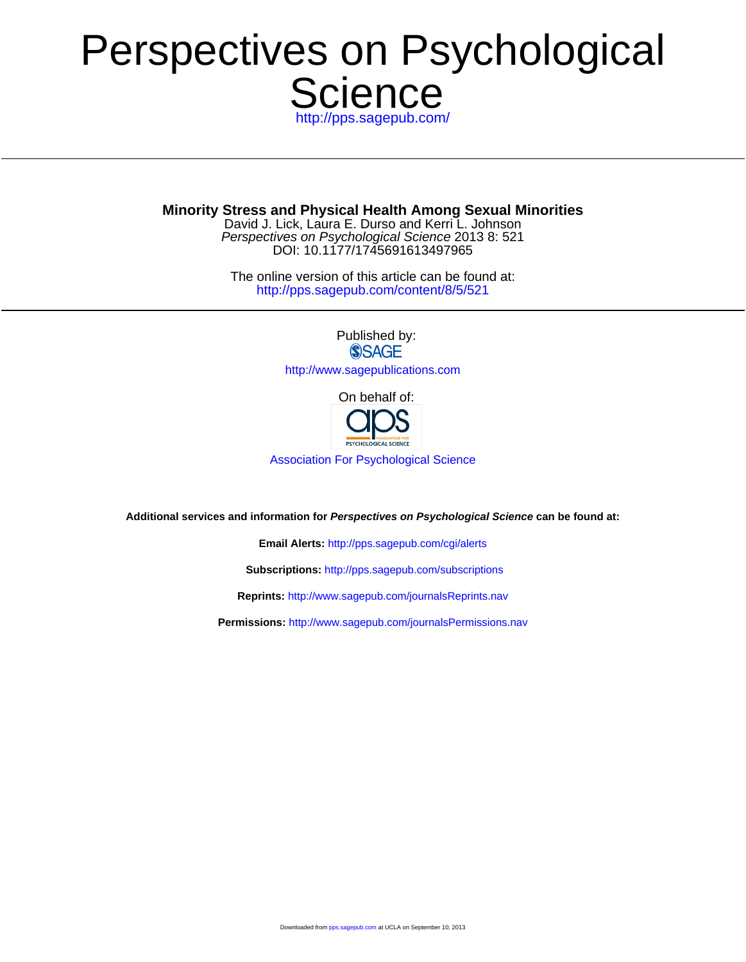# Science<sup>-</sup> <http://pps.sagepub.com/> Perspectives on Psychological

**Minority Stress and Physical Health Among Sexual Minorities**

DOI: 10.1177/1745691613497965 Perspectives on Psychological Science 2013 8: 521 David J. Lick, Laura E. Durso and Kerri L. Johnson

<http://pps.sagepub.com/content/8/5/521> The online version of this article can be found at:

> Published by: **SSAGE** <http://www.sagepublications.com>

On behalf of:



[Association For Psychological Science](http://www.psychologicalscience.org)

**Additional services and information for Perspectives on Psychological Science can be found at:**

**Email Alerts:** <http://pps.sagepub.com/cgi/alerts>

**Subscriptions:** <http://pps.sagepub.com/subscriptions>

**Reprints:** <http://www.sagepub.com/journalsReprints.nav>

**Permissions:** <http://www.sagepub.com/journalsPermissions.nav>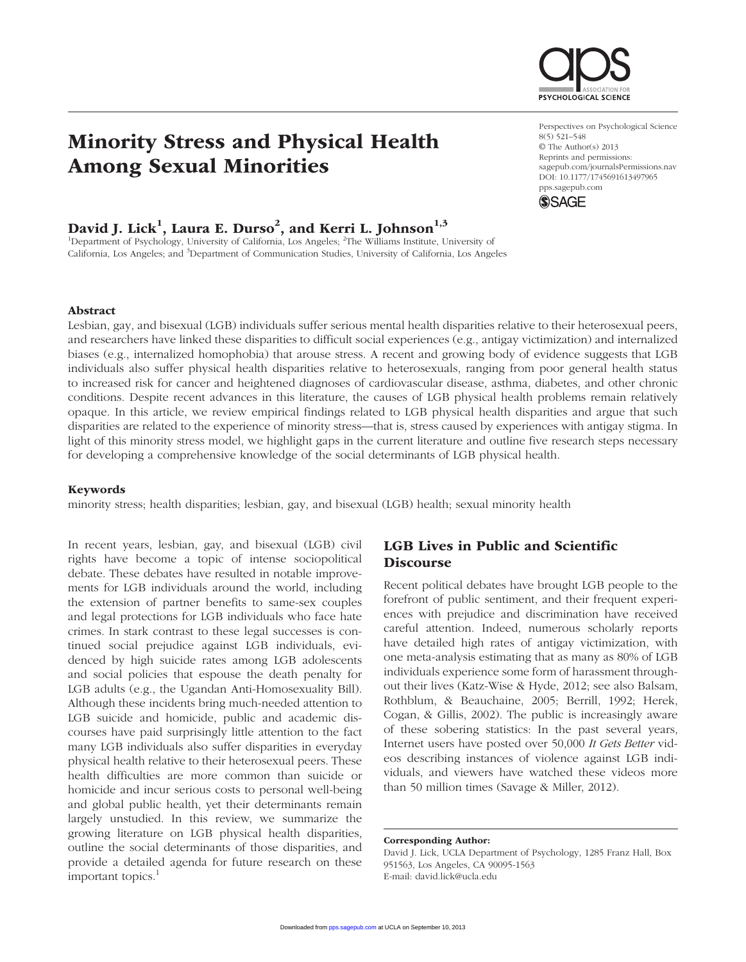

## Minority Stress and Physical Health Among Sexual Minorities

## David J. Lick $^1$ , Laura E. Durso $^2$ , and Kerri L. Johnson $^{1,3}$

<sup>1</sup>Department of Psychology, University of California, Los Angeles; <sup>2</sup>The Williams Institute, University of California, Los Angeles; and <sup>3</sup>Department of Communication Studies, University of California, Los Angeles Perspectives on Psychological Science 8(5) 521–548 © The Author(s) 2013 Reprints and permissions: sagepub.com/journalsPermissions.nav DOI: 10.1177/1745691613497965 pps.sagepub.com



#### Abstract

Lesbian, gay, and bisexual (LGB) individuals suffer serious mental health disparities relative to their heterosexual peers, and researchers have linked these disparities to difficult social experiences (e.g., antigay victimization) and internalized biases (e.g., internalized homophobia) that arouse stress. A recent and growing body of evidence suggests that LGB individuals also suffer physical health disparities relative to heterosexuals, ranging from poor general health status to increased risk for cancer and heightened diagnoses of cardiovascular disease, asthma, diabetes, and other chronic conditions. Despite recent advances in this literature, the causes of LGB physical health problems remain relatively opaque. In this article, we review empirical findings related to LGB physical health disparities and argue that such disparities are related to the experience of minority stress—that is, stress caused by experiences with antigay stigma. In light of this minority stress model, we highlight gaps in the current literature and outline five research steps necessary for developing a comprehensive knowledge of the social determinants of LGB physical health.

#### Keywords

minority stress; health disparities; lesbian, gay, and bisexual (LGB) health; sexual minority health

In recent years, lesbian, gay, and bisexual (LGB) civil rights have become a topic of intense sociopolitical debate. These debates have resulted in notable improvements for LGB individuals around the world, including the extension of partner benefits to same-sex couples and legal protections for LGB individuals who face hate crimes. In stark contrast to these legal successes is continued social prejudice against LGB individuals, evidenced by high suicide rates among LGB adolescents and social policies that espouse the death penalty for LGB adults (e.g., the Ugandan Anti-Homosexuality Bill). Although these incidents bring much-needed attention to LGB suicide and homicide, public and academic discourses have paid surprisingly little attention to the fact many LGB individuals also suffer disparities in everyday physical health relative to their heterosexual peers. These health difficulties are more common than suicide or homicide and incur serious costs to personal well-being and global public health, yet their determinants remain largely unstudied. In this review, we summarize the growing literature on LGB physical health disparities, outline the social determinants of those disparities, and provide a detailed agenda for future research on these important topics.<sup>1</sup>

### LGB Lives in Public and Scientific Discourse

Recent political debates have brought LGB people to the forefront of public sentiment, and their frequent experiences with prejudice and discrimination have received careful attention. Indeed, numerous scholarly reports have detailed high rates of antigay victimization, with one meta-analysis estimating that as many as 80% of LGB individuals experience some form of harassment throughout their lives (Katz-Wise & Hyde, 2012; see also Balsam, Rothblum, & Beauchaine, 2005; Berrill, 1992; Herek, Cogan, & Gillis, 2002). The public is increasingly aware of these sobering statistics: In the past several years, Internet users have posted over 50,000 *It Gets Better* videos describing instances of violence against LGB individuals, and viewers have watched these videos more than 50 million times (Savage & Miller, 2012).

Corresponding Author:

David J. Lick, UCLA Department of Psychology, 1285 Franz Hall, Box 951563, Los Angeles, CA 90095-1563 E-mail: david.lick@ucla.edu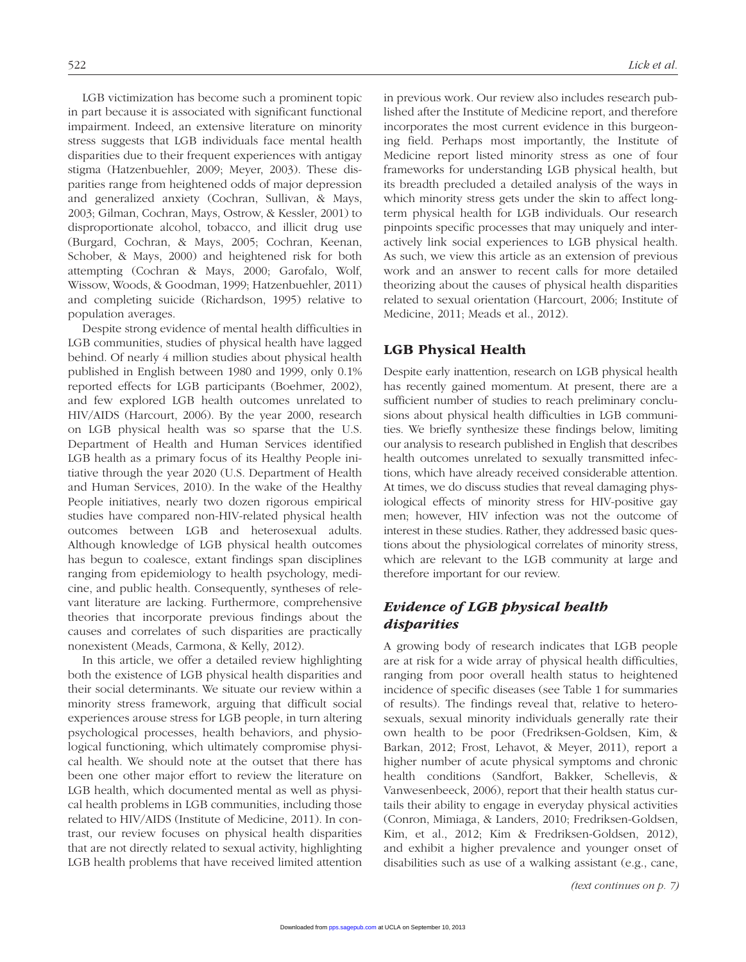LGB victimization has become such a prominent topic in part because it is associated with significant functional impairment. Indeed, an extensive literature on minority stress suggests that LGB individuals face mental health disparities due to their frequent experiences with antigay stigma (Hatzenbuehler, 2009; Meyer, 2003). These disparities range from heightened odds of major depression and generalized anxiety (Cochran, Sullivan, & Mays, 2003; Gilman, Cochran, Mays, Ostrow, & Kessler, 2001) to disproportionate alcohol, tobacco, and illicit drug use (Burgard, Cochran, & Mays, 2005; Cochran, Keenan, Schober, & Mays, 2000) and heightened risk for both attempting (Cochran & Mays, 2000; Garofalo, Wolf, Wissow, Woods, & Goodman, 1999; Hatzenbuehler, 2011) and completing suicide (Richardson, 1995) relative to population averages.

Despite strong evidence of mental health difficulties in LGB communities, studies of physical health have lagged behind. Of nearly 4 million studies about physical health published in English between 1980 and 1999, only 0.1% reported effects for LGB participants (Boehmer, 2002), and few explored LGB health outcomes unrelated to HIV/AIDS (Harcourt, 2006). By the year 2000, research on LGB physical health was so sparse that the U.S. Department of Health and Human Services identified LGB health as a primary focus of its Healthy People initiative through the year 2020 (U.S. Department of Health and Human Services, 2010). In the wake of the Healthy People initiatives, nearly two dozen rigorous empirical studies have compared non-HIV-related physical health outcomes between LGB and heterosexual adults. Although knowledge of LGB physical health outcomes has begun to coalesce, extant findings span disciplines ranging from epidemiology to health psychology, medicine, and public health. Consequently, syntheses of relevant literature are lacking. Furthermore, comprehensive theories that incorporate previous findings about the causes and correlates of such disparities are practically nonexistent (Meads, Carmona, & Kelly, 2012).

In this article, we offer a detailed review highlighting both the existence of LGB physical health disparities and their social determinants. We situate our review within a minority stress framework, arguing that difficult social experiences arouse stress for LGB people, in turn altering psychological processes, health behaviors, and physiological functioning, which ultimately compromise physical health. We should note at the outset that there has been one other major effort to review the literature on LGB health, which documented mental as well as physical health problems in LGB communities, including those related to HIV/AIDS (Institute of Medicine, 2011). In contrast, our review focuses on physical health disparities that are not directly related to sexual activity, highlighting LGB health problems that have received limited attention

in previous work. Our review also includes research published after the Institute of Medicine report, and therefore incorporates the most current evidence in this burgeoning field. Perhaps most importantly, the Institute of Medicine report listed minority stress as one of four frameworks for understanding LGB physical health, but its breadth precluded a detailed analysis of the ways in which minority stress gets under the skin to affect longterm physical health for LGB individuals. Our research pinpoints specific processes that may uniquely and interactively link social experiences to LGB physical health. As such, we view this article as an extension of previous work and an answer to recent calls for more detailed theorizing about the causes of physical health disparities related to sexual orientation (Harcourt, 2006; Institute of Medicine, 2011; Meads et al., 2012).

#### LGB Physical Health

Despite early inattention, research on LGB physical health has recently gained momentum. At present, there are a sufficient number of studies to reach preliminary conclusions about physical health difficulties in LGB communities. We briefly synthesize these findings below, limiting our analysis to research published in English that describes health outcomes unrelated to sexually transmitted infections, which have already received considerable attention. At times, we do discuss studies that reveal damaging physiological effects of minority stress for HIV-positive gay men; however, HIV infection was not the outcome of interest in these studies. Rather, they addressed basic questions about the physiological correlates of minority stress, which are relevant to the LGB community at large and therefore important for our review.

## *Evidence of LGB physical health disparities*

A growing body of research indicates that LGB people are at risk for a wide array of physical health difficulties, ranging from poor overall health status to heightened incidence of specific diseases (see Table 1 for summaries of results). The findings reveal that, relative to heterosexuals, sexual minority individuals generally rate their own health to be poor (Fredriksen-Goldsen, Kim, & Barkan, 2012; Frost, Lehavot, & Meyer, 2011), report a higher number of acute physical symptoms and chronic health conditions (Sandfort, Bakker, Schellevis, & Vanwesenbeeck, 2006), report that their health status curtails their ability to engage in everyday physical activities (Conron, Mimiaga, & Landers, 2010; Fredriksen-Goldsen, Kim, et al., 2012; Kim & Fredriksen-Goldsen, 2012), and exhibit a higher prevalence and younger onset of disabilities such as use of a walking assistant (e.g., cane,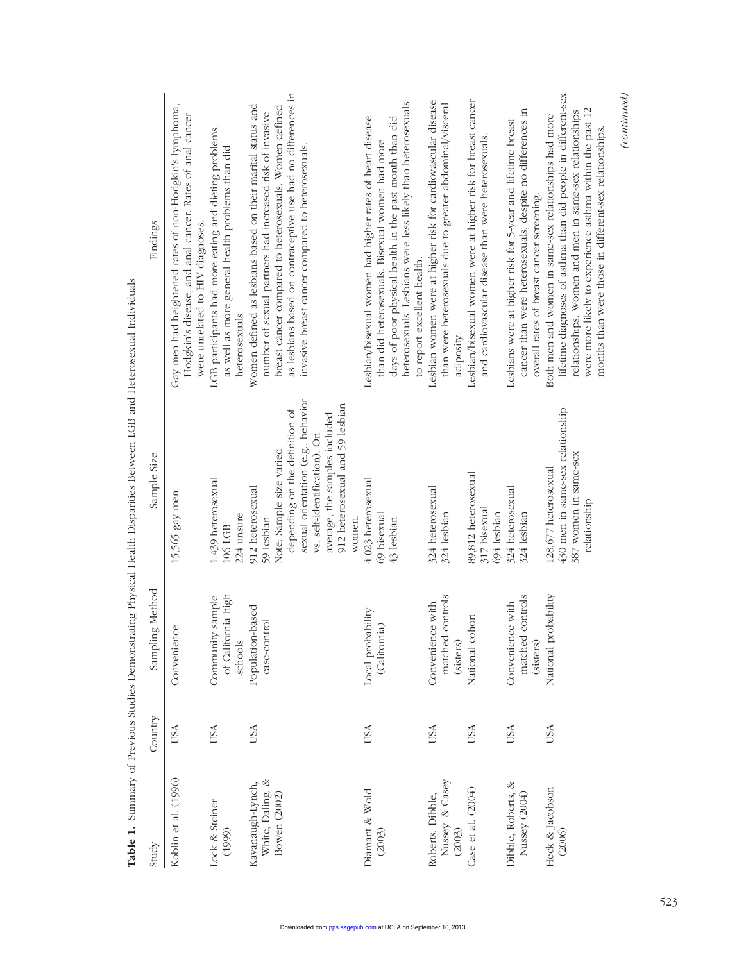|                                                      |            |                                                      | Table 1. Summary of Previous Studies Demonstrating Physical Health Disparities Between LGB and Heterosexual Individuals                                                                                                                          |                                                                                                                                                                                                                                                                                                        |
|------------------------------------------------------|------------|------------------------------------------------------|--------------------------------------------------------------------------------------------------------------------------------------------------------------------------------------------------------------------------------------------------|--------------------------------------------------------------------------------------------------------------------------------------------------------------------------------------------------------------------------------------------------------------------------------------------------------|
| Study                                                | Country    | Sampling Method                                      | Sample Size                                                                                                                                                                                                                                      | Findings                                                                                                                                                                                                                                                                                               |
| Koblin et al. (1996)                                 | <b>USA</b> | Convenience                                          | 15,565 gay men                                                                                                                                                                                                                                   | Gay men had heightened rates of non-Hodgkin's lymphoma,<br>Hodgkin's disease, and anal cancer. Rates of anal cancer<br>were unrelated to HIV diagnoses.                                                                                                                                                |
| Lock & Steiner<br>(1999)                             | <b>USA</b> | of California high<br>sample<br>Community<br>schools | 1,439 heterosexual<br>224 unsure<br>106 LGB                                                                                                                                                                                                      | LGB participants had more eating and dieting problems,<br>as well as more general health problems than did<br>heterosexuals.                                                                                                                                                                           |
| White, Daling, &<br>Kavanaugh-Lynch,<br>Bowen (2002) | USA        | Population-based<br>case-control                     | sexual orientation (e.g., behavior<br>912 heterosexual and 59 lesbian<br>depending on the definition of<br>average, the samples included<br>vs. self-identification). On<br>Note: Sample size varied<br>912 heterosexual<br>59 lesbian<br>women. | as lesbians based on contraceptive use had no differences in<br>Women defined as lesbians based on their marital status and<br>breast cancer compared to heterosexuals. Women defined<br>number of sexual partners had increased risk of invasive<br>invasive breast cancer compared to heterosexuals. |
| Diamant & Wold<br>(2003)                             | <b>USA</b> | Local probability<br>(California)                    | 4,023 heterosexual<br>69 bisexual<br>43 lesbian                                                                                                                                                                                                  | heterosexuals. Lesbians were less likely than heterosexuals<br>days of poor physical health in the past month than did<br>Lesbian/bisexual women had higher rates of heart disease<br>than did heterosexuals. Bisexual women had more<br>to report excellent health.                                   |
| Nussey, & Casey<br>(2003)<br>Roberts, Dibble,        | <b>USA</b> | matched controls<br>Convenience with<br>(sisters)    | 324 heterosexual<br>324 lesbian                                                                                                                                                                                                                  | Lesbian women were at higher risk for cardiovascular disease<br>than were heterosexuals due to greater abdominal/visceral<br>adiposity.                                                                                                                                                                |
| Case et al. (2004)                                   | USA        | National cohort                                      | 89,812 heterosexual<br>317 bisexual<br>694 lesbian                                                                                                                                                                                               | Lesbian/bisexual women were at higher risk for breast cancer<br>and cardiovascular disease than were heterosexuals                                                                                                                                                                                     |
| Dibble, Roberts, &<br>Nussey (2004)                  | <b>USA</b> | matched controls<br>Convenience with<br>(sisters)    | 324 heterosexual<br>324 lesbian                                                                                                                                                                                                                  | cancer than were heterosexuals, despite no differences in<br>Lesbians were at higher risk for 5-year and lifetime breast<br>overall rates of breast cancer screening.                                                                                                                                  |
| Heck & Jacobson<br>(2006)                            | <b>USA</b> | National probability                                 | 430 men in same-sex relationship<br>387 women in same-sex<br>128,677 heterosexual<br>relationship                                                                                                                                                | lifetime diagnoses of asthma than did people in different-sex<br>were more likely to experience asthma within the past 12<br>relationships. Women and men in same-sex relationships<br>Both men and women in same-sex relationships had more<br>months than were those in different-sex relationships. |

*(continued)*

 $\overline{(continued)}$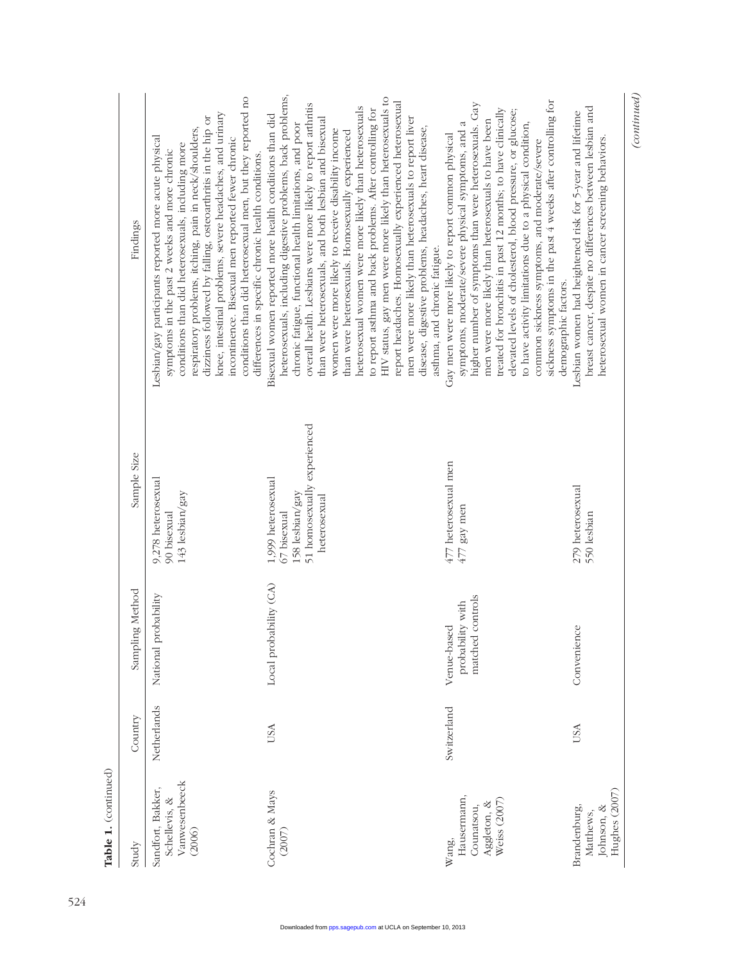| Study                                                               | Country     | Sampling Method                                        | Sample Size                                                                                         | Findings                                                                                                                                                                                                                                                                                                                                                                                                                                                                                                                                                                                                                                                                                                                                                                                                                       |
|---------------------------------------------------------------------|-------------|--------------------------------------------------------|-----------------------------------------------------------------------------------------------------|--------------------------------------------------------------------------------------------------------------------------------------------------------------------------------------------------------------------------------------------------------------------------------------------------------------------------------------------------------------------------------------------------------------------------------------------------------------------------------------------------------------------------------------------------------------------------------------------------------------------------------------------------------------------------------------------------------------------------------------------------------------------------------------------------------------------------------|
| Vanwesenbeeck<br>Sandfort, Bakker,<br>Schellevis, &<br>(2006)       | Netherlands | National probability                                   | 9,278 heterosexual<br>143 lesbian/gay<br>90 bisexual                                                | conditions than did heterosexual men, but they reported no<br>knee, intestinal problems, severe headaches, and urinary<br>dizziness followed by falling, osteoarthritis in the hip or<br>respiratory problems, itching, pain in neck/shoulders,<br>Lesbian/gay participants reported more acute physical<br>incontinence. Bisexual men reported fewer chronic<br>conditions than did heterosexuals, including more<br>symptoms in the past 2 weeks and more chronic<br>differences in specific chronic health conditions                                                                                                                                                                                                                                                                                                       |
| Cochran & Mays<br>(2007)                                            | <b>USA</b>  | Local probability (CA)                                 | 51 homosexually experienced<br>1,999 heterosexual<br>158 lesbian/gay<br>heterosexual<br>67 bisexual | heterosexuals, including digestive problems, back problems,<br>HIV status, gay men were more likely than heterosexuals to<br>report headaches. Homosexually experienced heterosexual<br>overall health. Lesbians were more likely to report arthritis<br>heterosexual women were more likely than heterosexuals<br>to report asthma and back problems. After controlling for<br>Bisexual women reported more health conditions than did<br>men were more likely than heterosexuals to report liver<br>than were heterosexuals, and both lesbian and bisexual<br>chronic fatigue, functional health limitations, and poor<br>disease, digestive problems, headaches, heart disease,<br>women were more likely to receive disability income<br>than were heterosexuals. Homosexually experienced<br>asthma, and chronic fatigue. |
| Hausermann,<br>Weiss $(2007)$<br>Aggleton, &<br>Counatsou,<br>Wang, | Switzerland | controls<br>probability with<br>Venue-based<br>matched | 477 heterosexual men<br>$477$ gay men                                                               | sickness symptoms in the past 4 weeks after controlling for<br>higher number of symptoms than were heterosexuals. Gay<br>treated for bronchitis in past 12 months; to have clinically<br>elevated levels of cholesterol, blood pressure, or glucose;<br>men were more likely than heterosexuals to have been<br>symptoms, moderate/severe physical symptoms, and a<br>to have activity limitations due to a physical condition,<br>Gay men were more likely to report common physical<br>common sickness symptoms, and moderate/severe<br>demographic factors.                                                                                                                                                                                                                                                                 |
| Hughes (2007)<br>Brandenburg,<br>Johnson, &<br>Matthews,            | USA         | Convenience                                            | 279 heterosexual<br>550 lesbian                                                                     | breast cancer, despite no differences between lesbian and<br>Lesbian women had heightened risk for 5-year and lifetime<br>heterosexual women in cancer screening behaviors.                                                                                                                                                                                                                                                                                                                                                                                                                                                                                                                                                                                                                                                    |
|                                                                     |             |                                                        |                                                                                                     |                                                                                                                                                                                                                                                                                                                                                                                                                                                                                                                                                                                                                                                                                                                                                                                                                                |

Table 1. (continued) Table 1. (continued)

524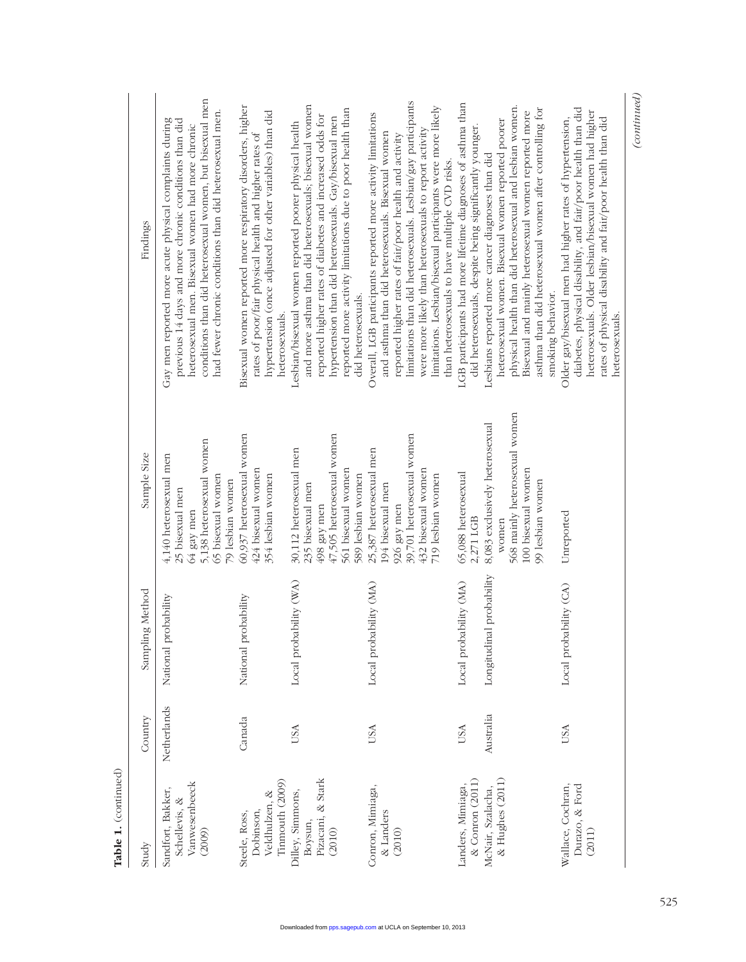| Table 1. (continued)                                                         |                         |                                                       |                                                                                                                                                        |                                                                                                                                                                                                                                                                                                                                                                                                                        |
|------------------------------------------------------------------------------|-------------------------|-------------------------------------------------------|--------------------------------------------------------------------------------------------------------------------------------------------------------|------------------------------------------------------------------------------------------------------------------------------------------------------------------------------------------------------------------------------------------------------------------------------------------------------------------------------------------------------------------------------------------------------------------------|
| Study                                                                        | Country                 | Sampling Method                                       | Sample Size                                                                                                                                            | Findings                                                                                                                                                                                                                                                                                                                                                                                                               |
| Vanwesenbeeck<br>Sandfort, Bakker,<br>Schellevis, &<br>(2009)                | Netherlands             | National probability                                  | 5,138 heterosexual women<br>4,140 heterosexual men<br>65 bisexual women<br>79 lesbian women<br>25 bisexual men<br>64 gay men                           | conditions than did heterosexual women, but bisexual men<br>had fewer chronic conditions than did heterosexual men.<br>Gay men reported more acute physical complaints during<br>previous 14 days and more chronic conditions than did<br>heterosexual men. Bisexual women had more chronic                                                                                                                            |
| Tinmouth (2009)<br>Veldhulzen, &<br>Dobinson,<br>Steele, Ross,               | Canada                  | National probability                                  | 60,937 heterosexual women<br>424 bisexual women<br>354 lesbian women                                                                                   | Bisexual women reported more respiratory disorders, higher<br>hypertension (once adjusted for other variables) than did<br>rates of poor/fair physical health and higher rates of<br>heterosexuals.                                                                                                                                                                                                                    |
| Pizacani, & Stark<br>Dilley, Simmons,<br>Boysun,<br>(2010)                   | <b>USA</b>              | Local probability (WA)                                | 47,505 heterosexual women<br>30,112 heterosexual men<br>561 bisexual women<br>589 lesbian women<br>235 bisexual men<br>498 gay men                     | and more asthma than did heterosexuals; bisexual women<br>reported more activity limitations due to poor health than<br>reported higher rates of diabetes and increased odds for<br>hypertension than did heterosexuals. Gay/bisexual men<br>Lesbian/bisexual women reported poorer physical health<br>did heterosexuals.                                                                                              |
| Conron, Mimiaga,<br>& Landers<br>(2010)                                      | <b>USA</b>              | Local probability (MA)                                | 39,701 heterosexual women<br>25,387 heterosexual men<br>432 bisexual women<br>719 lesbian women<br>194 bisexual men<br>926 gay men                     | limitations than did heterosexuals. Lesbian/gay participants<br>limitations. Lesbian/bisexual participants were more likely<br>Overall, LGB participants reported more activity limitations<br>were more likely than heterosexuals to report activity<br>and asthma than did heterosexuals. Bisexual women<br>reported higher rates of fair/poor health and activity<br>than heterosexuals to have multiple CVD risks. |
| & Hughes (2011)<br>& Conron (2011)<br>Landers, Mimiaga,<br>McNair, Szalacha, | Australia<br><b>USA</b> | probability<br>Local probability (MA)<br>Longitudinal | 568 mainly heterosexual women<br>8,083 exclusively heterosexual<br>100 bisexual women<br>65,088 heterosexual<br>99 lesbian women<br>2,271 LGB<br>women | LGB participants had more lifetime diagnoses of asthma than<br>physical health than did heterosexual and lesbian women.<br>asthma than did heterosexual women after controlling for<br>Bisexual and mainly heterosexual women reported more<br>heterosexual women. Bisexual women reported poorer<br>did heterosexuals, despite being significantly younger.<br>Lesbians reported more cancer diagnoses than did       |
| Wallace, Cochran,<br>Durazo, & Ford<br>(2011)                                | <b>USA</b>              | Local probability (CA)                                | Unreported                                                                                                                                             | diabetes, physical disability, and fair/poor health than did<br>heterosexuals. Older lesbian/bisexual women had higher<br>Older gay/bisexual men had higher rates of hypertension,<br>rates of physical disability and fair/poor health than did<br>smoking behavior.<br>heterosexuals.                                                                                                                                |
|                                                                              |                         |                                                       |                                                                                                                                                        | (continued)                                                                                                                                                                                                                                                                                                                                                                                                            |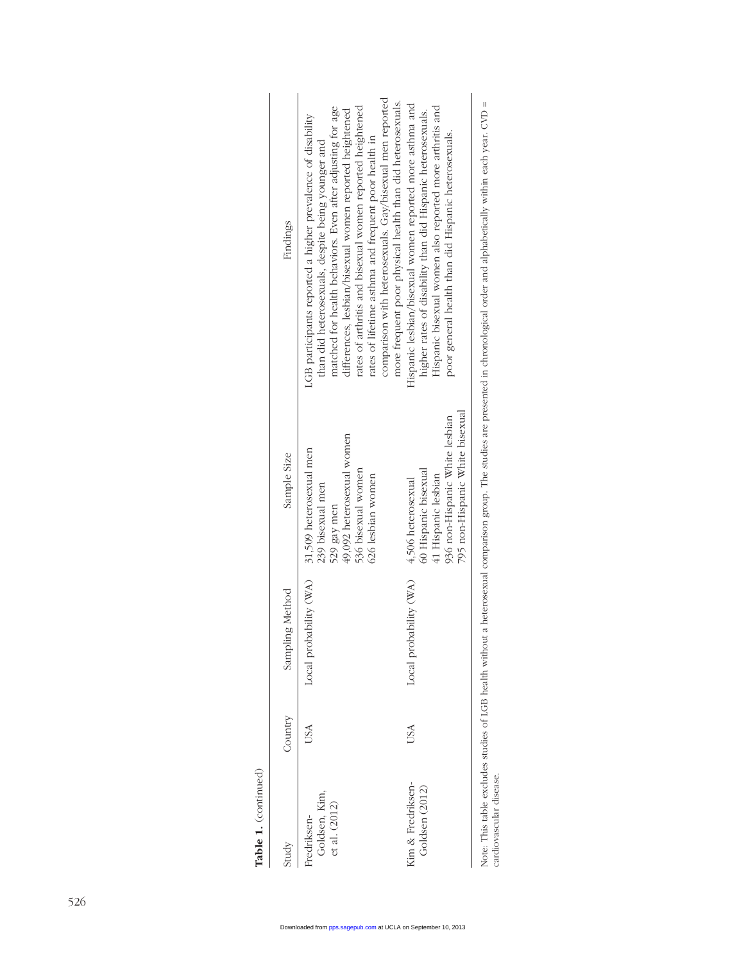| ĺ |
|---|

| USA<br>Fredriksen-                         | Sampling Method        | Sample Size                                                                                                                            | Findings                                                                                                                                                                                                                                                                                                                                                                                                                   |
|--------------------------------------------|------------------------|----------------------------------------------------------------------------------------------------------------------------------------|----------------------------------------------------------------------------------------------------------------------------------------------------------------------------------------------------------------------------------------------------------------------------------------------------------------------------------------------------------------------------------------------------------------------------|
| Goldsen, Kim,<br>et al. (2012)             | Local probability (WA) | 49,092 heterosexual women<br>31,509 heterosexual men<br>536 bisexual women<br>626 lesbian women<br>239 bisexual men<br>529 gay men     | comparison with heterosexuals. Gay/bisexual men reported<br>rates of arthritis and bisexual women reported heightened<br>matched for health behaviors. Even after adjusting for age<br>differences, lesbian/bisexual women reported heightened<br>LGB participants reported a higher prevalence of disability<br>rates of lifetime asthma and frequent poor health in<br>than did heterosexuals, despite being younger and |
| USA<br>Kim & Fredriksen-<br>Goldsen (2012) | Local probability (WA) | 795 non-Hispanic White bisexual<br>936 non-Hispanic White lesbian<br>60 Hispanic bisexual<br>41 Hispanic lesbian<br>4,506 heterosexual | more frequent poor physical health than did heterosexuals.<br>Hispanic lesbian/bisexual women reported more asthma and<br>Hispanic bisexual women also reported more arthritis and<br>higher rates of disability than did Hispanic heterosexuals.<br>poor general health than did Hispanic heterosexuals.                                                                                                                  |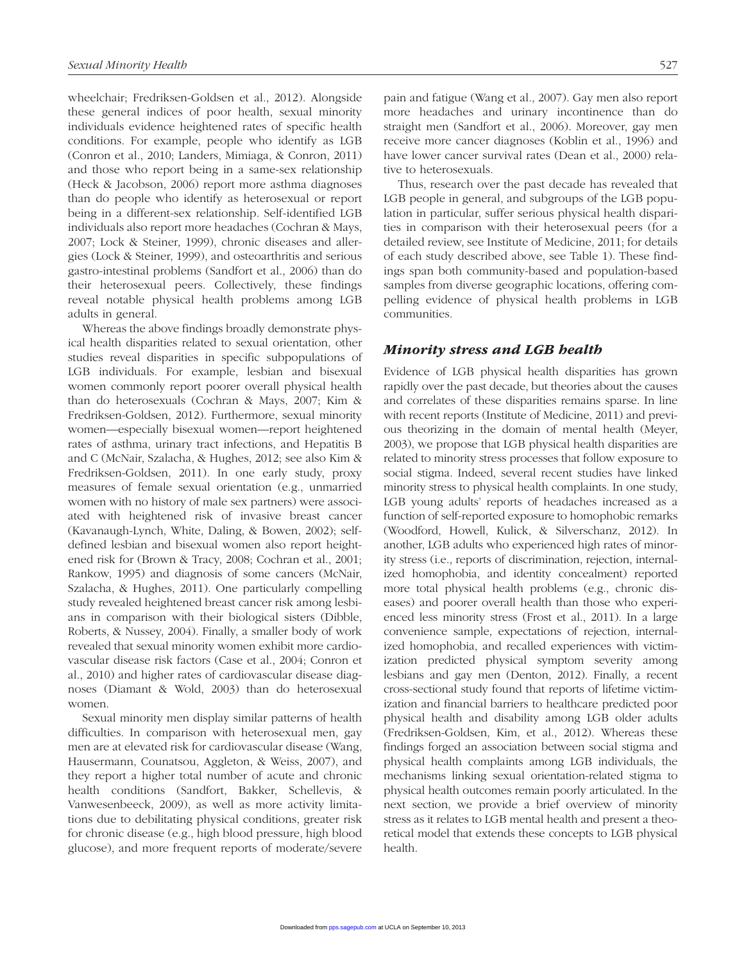wheelchair; Fredriksen-Goldsen et al., 2012). Alongside these general indices of poor health, sexual minority individuals evidence heightened rates of specific health conditions. For example, people who identify as LGB (Conron et al., 2010; Landers, Mimiaga, & Conron, 2011) and those who report being in a same-sex relationship (Heck & Jacobson, 2006) report more asthma diagnoses than do people who identify as heterosexual or report being in a different-sex relationship. Self-identified LGB individuals also report more headaches (Cochran & Mays, 2007; Lock & Steiner, 1999), chronic diseases and allergies (Lock & Steiner, 1999), and osteoarthritis and serious gastro-intestinal problems (Sandfort et al., 2006) than do their heterosexual peers. Collectively, these findings reveal notable physical health problems among LGB adults in general.

Whereas the above findings broadly demonstrate physical health disparities related to sexual orientation, other studies reveal disparities in specific subpopulations of LGB individuals. For example, lesbian and bisexual women commonly report poorer overall physical health than do heterosexuals (Cochran & Mays, 2007; Kim & Fredriksen-Goldsen, 2012). Furthermore, sexual minority women—especially bisexual women—report heightened rates of asthma, urinary tract infections, and Hepatitis B and C (McNair, Szalacha, & Hughes, 2012; see also Kim & Fredriksen-Goldsen, 2011). In one early study, proxy measures of female sexual orientation (e.g., unmarried women with no history of male sex partners) were associated with heightened risk of invasive breast cancer (Kavanaugh-Lynch, White, Daling, & Bowen, 2002); selfdefined lesbian and bisexual women also report heightened risk for (Brown & Tracy, 2008; Cochran et al., 2001; Rankow, 1995) and diagnosis of some cancers (McNair, Szalacha, & Hughes, 2011). One particularly compelling study revealed heightened breast cancer risk among lesbians in comparison with their biological sisters (Dibble, Roberts, & Nussey, 2004). Finally, a smaller body of work revealed that sexual minority women exhibit more cardiovascular disease risk factors (Case et al., 2004; Conron et al., 2010) and higher rates of cardiovascular disease diagnoses (Diamant & Wold, 2003) than do heterosexual women.

Sexual minority men display similar patterns of health difficulties. In comparison with heterosexual men, gay men are at elevated risk for cardiovascular disease (Wang, Hausermann, Counatsou, Aggleton, & Weiss, 2007), and they report a higher total number of acute and chronic health conditions (Sandfort, Bakker, Schellevis, & Vanwesenbeeck, 2009), as well as more activity limitations due to debilitating physical conditions, greater risk for chronic disease (e.g., high blood pressure, high blood glucose), and more frequent reports of moderate/severe

pain and fatigue (Wang et al., 2007). Gay men also report more headaches and urinary incontinence than do straight men (Sandfort et al., 2006). Moreover, gay men receive more cancer diagnoses (Koblin et al., 1996) and have lower cancer survival rates (Dean et al., 2000) relative to heterosexuals.

Thus, research over the past decade has revealed that LGB people in general, and subgroups of the LGB population in particular, suffer serious physical health disparities in comparison with their heterosexual peers (for a detailed review, see Institute of Medicine, 2011; for details of each study described above, see Table 1). These findings span both community-based and population-based samples from diverse geographic locations, offering compelling evidence of physical health problems in LGB communities.

#### *Minority stress and LGB health*

Evidence of LGB physical health disparities has grown rapidly over the past decade, but theories about the causes and correlates of these disparities remains sparse. In line with recent reports (Institute of Medicine, 2011) and previous theorizing in the domain of mental health (Meyer, 2003), we propose that LGB physical health disparities are related to minority stress processes that follow exposure to social stigma. Indeed, several recent studies have linked minority stress to physical health complaints. In one study, LGB young adults' reports of headaches increased as a function of self-reported exposure to homophobic remarks (Woodford, Howell, Kulick, & Silverschanz, 2012). In another, LGB adults who experienced high rates of minority stress (i.e., reports of discrimination, rejection, internalized homophobia, and identity concealment) reported more total physical health problems (e.g., chronic diseases) and poorer overall health than those who experienced less minority stress (Frost et al., 2011). In a large convenience sample, expectations of rejection, internalized homophobia, and recalled experiences with victimization predicted physical symptom severity among lesbians and gay men (Denton, 2012). Finally, a recent cross-sectional study found that reports of lifetime victimization and financial barriers to healthcare predicted poor physical health and disability among LGB older adults (Fredriksen-Goldsen, Kim, et al., 2012). Whereas these findings forged an association between social stigma and physical health complaints among LGB individuals, the mechanisms linking sexual orientation-related stigma to physical health outcomes remain poorly articulated. In the next section, we provide a brief overview of minority stress as it relates to LGB mental health and present a theoretical model that extends these concepts to LGB physical health.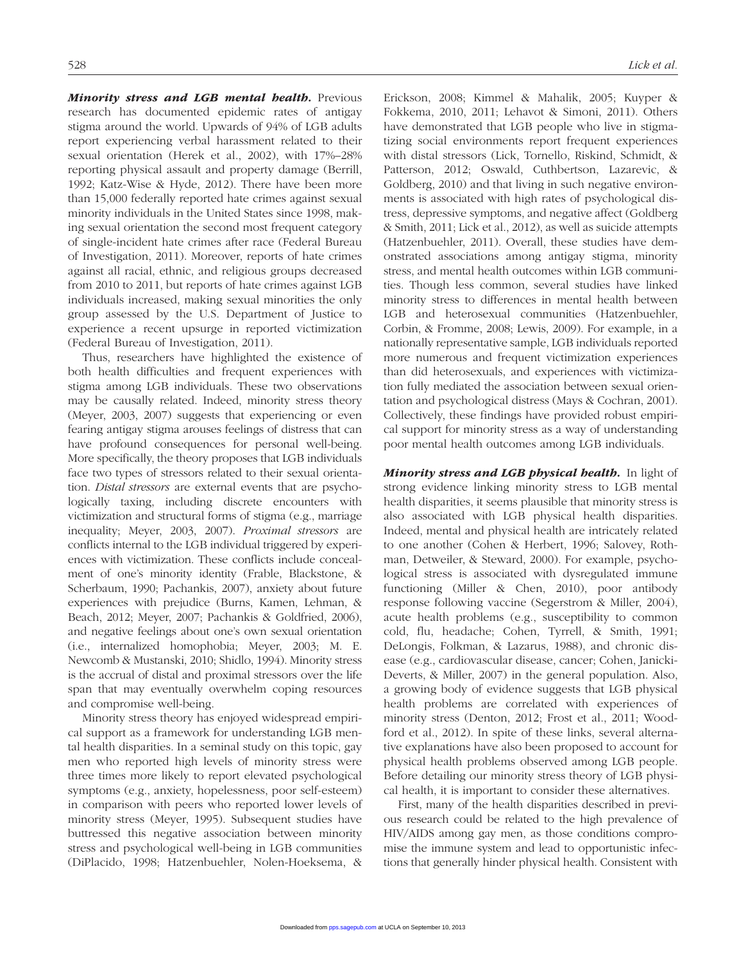*Minority stress and LGB mental health.* Previous research has documented epidemic rates of antigay stigma around the world. Upwards of 94% of LGB adults report experiencing verbal harassment related to their sexual orientation (Herek et al., 2002), with 17%–28% reporting physical assault and property damage (Berrill, 1992; Katz-Wise & Hyde, 2012). There have been more than 15,000 federally reported hate crimes against sexual minority individuals in the United States since 1998, making sexual orientation the second most frequent category of single-incident hate crimes after race (Federal Bureau of Investigation, 2011). Moreover, reports of hate crimes against all racial, ethnic, and religious groups decreased from 2010 to 2011, but reports of hate crimes against LGB individuals increased, making sexual minorities the only group assessed by the U.S. Department of Justice to experience a recent upsurge in reported victimization (Federal Bureau of Investigation, 2011).

Thus, researchers have highlighted the existence of both health difficulties and frequent experiences with stigma among LGB individuals. These two observations may be causally related. Indeed, minority stress theory (Meyer, 2003, 2007) suggests that experiencing or even fearing antigay stigma arouses feelings of distress that can have profound consequences for personal well-being. More specifically, the theory proposes that LGB individuals face two types of stressors related to their sexual orientation. *Distal stressors* are external events that are psychologically taxing, including discrete encounters with victimization and structural forms of stigma (e.g., marriage inequality; Meyer, 2003, 2007). *Proximal stressors* are conflicts internal to the LGB individual triggered by experiences with victimization. These conflicts include concealment of one's minority identity (Frable, Blackstone, & Scherbaum, 1990; Pachankis, 2007), anxiety about future experiences with prejudice (Burns, Kamen, Lehman, & Beach, 2012; Meyer, 2007; Pachankis & Goldfried, 2006), and negative feelings about one's own sexual orientation (i.e., internalized homophobia; Meyer, 2003; M. E. Newcomb & Mustanski, 2010; Shidlo, 1994). Minority stress is the accrual of distal and proximal stressors over the life span that may eventually overwhelm coping resources and compromise well-being.

Minority stress theory has enjoyed widespread empirical support as a framework for understanding LGB mental health disparities. In a seminal study on this topic, gay men who reported high levels of minority stress were three times more likely to report elevated psychological symptoms (e.g., anxiety, hopelessness, poor self-esteem) in comparison with peers who reported lower levels of minority stress (Meyer, 1995). Subsequent studies have buttressed this negative association between minority stress and psychological well-being in LGB communities (DiPlacido, 1998; Hatzenbuehler, Nolen-Hoeksema, &

Erickson, 2008; Kimmel & Mahalik, 2005; Kuyper & Fokkema, 2010, 2011; Lehavot & Simoni, 2011). Others have demonstrated that LGB people who live in stigmatizing social environments report frequent experiences with distal stressors (Lick, Tornello, Riskind, Schmidt, & Patterson, 2012; Oswald, Cuthbertson, Lazarevic, & Goldberg, 2010) and that living in such negative environments is associated with high rates of psychological distress, depressive symptoms, and negative affect (Goldberg & Smith, 2011; Lick et al., 2012), as well as suicide attempts (Hatzenbuehler, 2011). Overall, these studies have demonstrated associations among antigay stigma, minority stress, and mental health outcomes within LGB communities. Though less common, several studies have linked minority stress to differences in mental health between LGB and heterosexual communities (Hatzenbuehler, Corbin, & Fromme, 2008; Lewis, 2009). For example, in a nationally representative sample, LGB individuals reported more numerous and frequent victimization experiences than did heterosexuals, and experiences with victimization fully mediated the association between sexual orientation and psychological distress (Mays & Cochran, 2001). Collectively, these findings have provided robust empirical support for minority stress as a way of understanding poor mental health outcomes among LGB individuals.

*Minority stress and LGB physical health.* In light of strong evidence linking minority stress to LGB mental health disparities, it seems plausible that minority stress is also associated with LGB physical health disparities. Indeed, mental and physical health are intricately related to one another (Cohen & Herbert, 1996; Salovey, Rothman, Detweiler, & Steward, 2000). For example, psychological stress is associated with dysregulated immune functioning (Miller & Chen, 2010), poor antibody response following vaccine (Segerstrom & Miller, 2004), acute health problems (e.g., susceptibility to common cold, flu, headache; Cohen, Tyrrell, & Smith, 1991; DeLongis, Folkman, & Lazarus, 1988), and chronic disease (e.g., cardiovascular disease, cancer; Cohen, Janicki-Deverts, & Miller, 2007) in the general population. Also, a growing body of evidence suggests that LGB physical health problems are correlated with experiences of minority stress (Denton, 2012; Frost et al., 2011; Woodford et al., 2012). In spite of these links, several alternative explanations have also been proposed to account for physical health problems observed among LGB people. Before detailing our minority stress theory of LGB physical health, it is important to consider these alternatives.

First, many of the health disparities described in previous research could be related to the high prevalence of HIV/AIDS among gay men, as those conditions compromise the immune system and lead to opportunistic infections that generally hinder physical health. Consistent with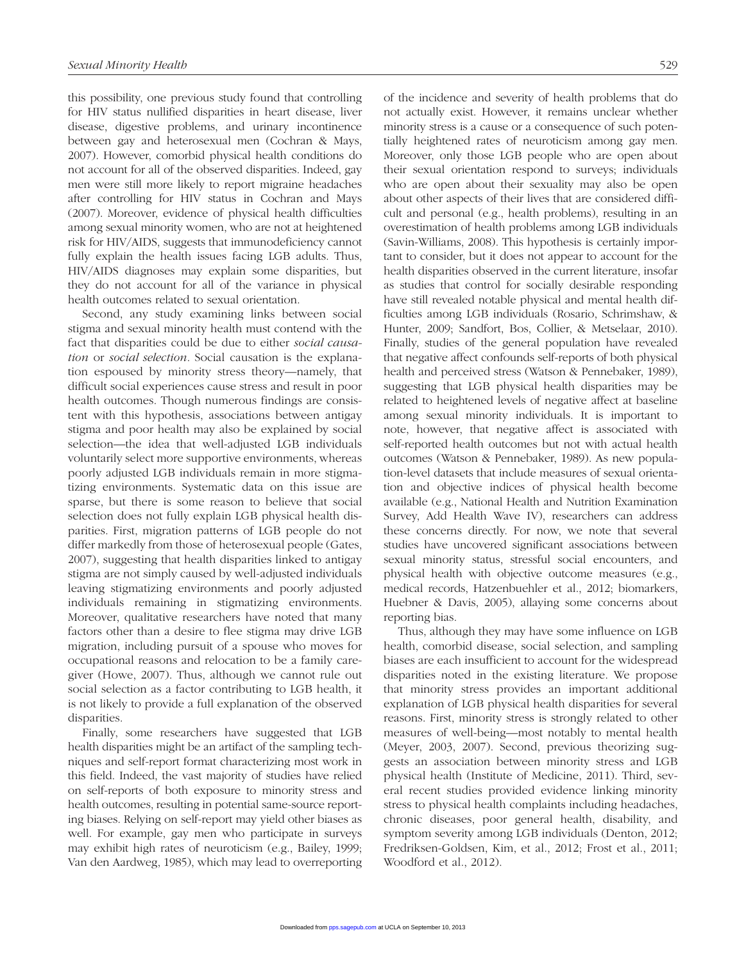this possibility, one previous study found that controlling for HIV status nullified disparities in heart disease, liver disease, digestive problems, and urinary incontinence between gay and heterosexual men (Cochran & Mays, 2007). However, comorbid physical health conditions do not account for all of the observed disparities. Indeed, gay men were still more likely to report migraine headaches after controlling for HIV status in Cochran and Mays (2007). Moreover, evidence of physical health difficulties among sexual minority women, who are not at heightened risk for HIV/AIDS, suggests that immunodeficiency cannot fully explain the health issues facing LGB adults. Thus, HIV/AIDS diagnoses may explain some disparities, but they do not account for all of the variance in physical health outcomes related to sexual orientation.

Second, any study examining links between social stigma and sexual minority health must contend with the fact that disparities could be due to either *social causation* or *social selection*. Social causation is the explanation espoused by minority stress theory—namely, that difficult social experiences cause stress and result in poor health outcomes. Though numerous findings are consistent with this hypothesis, associations between antigay stigma and poor health may also be explained by social selection—the idea that well-adjusted LGB individuals voluntarily select more supportive environments, whereas poorly adjusted LGB individuals remain in more stigmatizing environments. Systematic data on this issue are sparse, but there is some reason to believe that social selection does not fully explain LGB physical health disparities. First, migration patterns of LGB people do not differ markedly from those of heterosexual people (Gates, 2007), suggesting that health disparities linked to antigay stigma are not simply caused by well-adjusted individuals leaving stigmatizing environments and poorly adjusted individuals remaining in stigmatizing environments. Moreover, qualitative researchers have noted that many factors other than a desire to flee stigma may drive LGB migration, including pursuit of a spouse who moves for occupational reasons and relocation to be a family caregiver (Howe, 2007). Thus, although we cannot rule out social selection as a factor contributing to LGB health, it is not likely to provide a full explanation of the observed disparities.

Finally, some researchers have suggested that LGB health disparities might be an artifact of the sampling techniques and self-report format characterizing most work in this field. Indeed, the vast majority of studies have relied on self-reports of both exposure to minority stress and health outcomes, resulting in potential same-source reporting biases. Relying on self-report may yield other biases as well. For example, gay men who participate in surveys may exhibit high rates of neuroticism (e.g., Bailey, 1999; Van den Aardweg, 1985), which may lead to overreporting of the incidence and severity of health problems that do not actually exist. However, it remains unclear whether minority stress is a cause or a consequence of such potentially heightened rates of neuroticism among gay men. Moreover, only those LGB people who are open about their sexual orientation respond to surveys; individuals who are open about their sexuality may also be open about other aspects of their lives that are considered difficult and personal (e.g., health problems), resulting in an overestimation of health problems among LGB individuals (Savin-Williams, 2008). This hypothesis is certainly important to consider, but it does not appear to account for the health disparities observed in the current literature, insofar as studies that control for socially desirable responding have still revealed notable physical and mental health difficulties among LGB individuals (Rosario, Schrimshaw, & Hunter, 2009; Sandfort, Bos, Collier, & Metselaar, 2010). Finally, studies of the general population have revealed that negative affect confounds self-reports of both physical health and perceived stress (Watson & Pennebaker, 1989), suggesting that LGB physical health disparities may be related to heightened levels of negative affect at baseline among sexual minority individuals. It is important to note, however, that negative affect is associated with self-reported health outcomes but not with actual health outcomes (Watson & Pennebaker, 1989). As new population-level datasets that include measures of sexual orientation and objective indices of physical health become available (e.g., National Health and Nutrition Examination Survey, Add Health Wave IV), researchers can address these concerns directly. For now, we note that several studies have uncovered significant associations between sexual minority status, stressful social encounters, and physical health with objective outcome measures (e.g., medical records, Hatzenbuehler et al., 2012; biomarkers, Huebner & Davis, 2005), allaying some concerns about reporting bias.

Thus, although they may have some influence on LGB health, comorbid disease, social selection, and sampling biases are each insufficient to account for the widespread disparities noted in the existing literature. We propose that minority stress provides an important additional explanation of LGB physical health disparities for several reasons. First, minority stress is strongly related to other measures of well-being—most notably to mental health (Meyer, 2003, 2007). Second, previous theorizing suggests an association between minority stress and LGB physical health (Institute of Medicine, 2011). Third, several recent studies provided evidence linking minority stress to physical health complaints including headaches, chronic diseases, poor general health, disability, and symptom severity among LGB individuals (Denton, 2012; Fredriksen-Goldsen, Kim, et al., 2012; Frost et al., 2011; Woodford et al., 2012).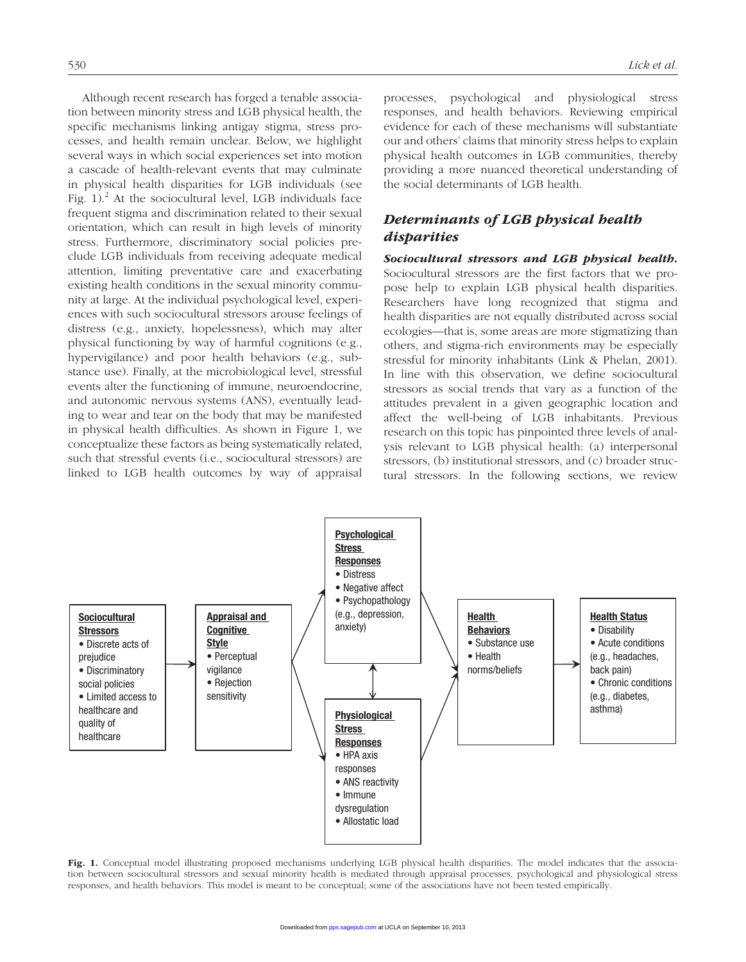Although recent research has forged a tenable association between minority stress and LGB physical health, the specific mechanisms linking antigay stigma, stress processes, and health remain unclear. Below, we highlight several ways in which social experiences set into motion a cascade of health-relevant events that may culminate in physical health disparities for LGB individuals (see Fig.  $1$ ).<sup>2</sup> At the sociocultural level, LGB individuals face frequent stigma and discrimination related to their sexual orientation, which can result in high levels of minority stress. Furthermore, discriminatory social policies preclude LGB individuals from receiving adequate medical attention, limiting preventative care and exacerbating existing health conditions in the sexual minority community at large. At the individual psychological level, experiences with such sociocultural stressors arouse feelings of distress (e.g., anxiety, hopelessness), which may alter physical functioning by way of harmful cognitions (e.g., hypervigilance) and poor health behaviors (e.g., substance use). Finally, at the microbiological level, stressful events alter the functioning of immune, neuroendocrine, and autonomic nervous systems (ANS), eventually leading to wear and tear on the body that may be manifested in physical health difficulties. As shown in Figure 1, we conceptualize these factors as being systematically related, such that stressful events (i.e., sociocultural stressors) are linked to LGB health outcomes by way of appraisal

processes, psychological and physiological stress responses, and health behaviors. Reviewing empirical evidence for each of these mechanisms will substantiate our and others' claims that minority stress helps to explain physical health outcomes in LGB communities, thereby providing a more nuanced theoretical understanding of the social determinants of LGB health.

### *Determinants of LGB physical health disparities*

*Sociocultural stressors and LGB physical health.* Sociocultural stressors are the first factors that we propose help to explain LGB physical health disparities. Researchers have long recognized that stigma and health disparities are not equally distributed across social ecologies—that is, some areas are more stigmatizing than others, and stigma-rich environments may be especially stressful for minority inhabitants (Link & Phelan, 2001). In line with this observation, we define sociocultural stressors as social trends that vary as a function of the attitudes prevalent in a given geographic location and affect the well-being of LGB inhabitants. Previous research on this topic has pinpointed three levels of analysis relevant to LGB physical health: (a) interpersonal stressors, (b) institutional stressors, and (c) broader structural stressors. In the following sections, we review



Fig. 1. Conceptual model illustrating proposed mechanisms underlying LGB physical health disparities. The model indicates that the association between sociocultural stressors and sexual minority health is mediated through appraisal processes, psychological and physiological stress responses, and health behaviors. This model is meant to be conceptual; some of the associations have not been tested empirically.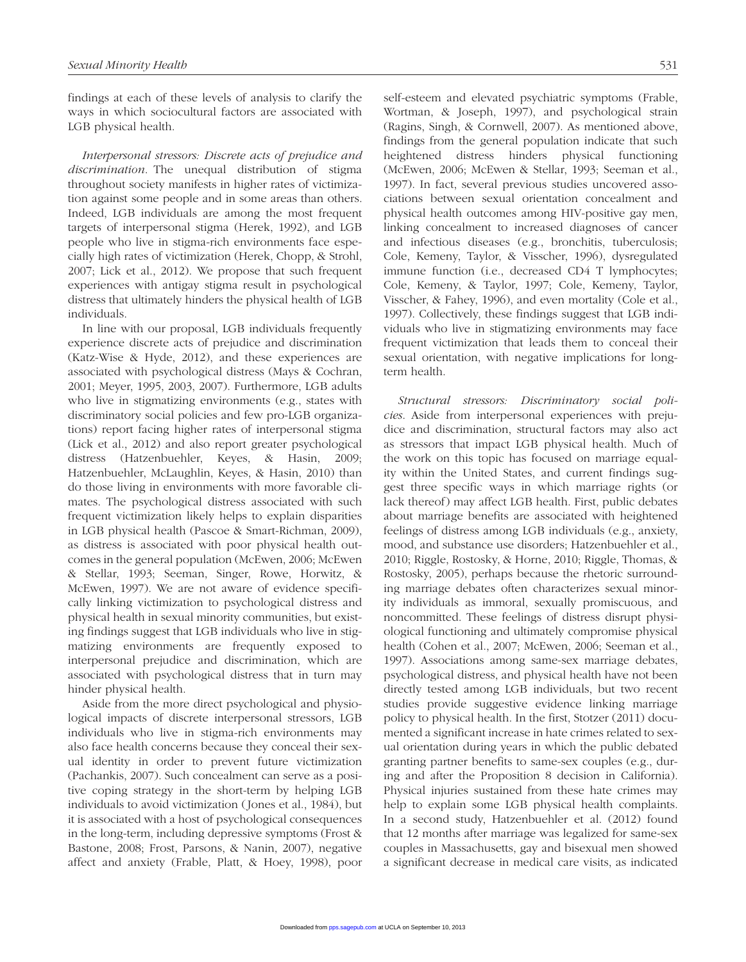findings at each of these levels of analysis to clarify the ways in which sociocultural factors are associated with LGB physical health.

*Interpersonal stressors: Discrete acts of prejudice and discrimination*. The unequal distribution of stigma throughout society manifests in higher rates of victimization against some people and in some areas than others. Indeed, LGB individuals are among the most frequent targets of interpersonal stigma (Herek, 1992), and LGB people who live in stigma-rich environments face especially high rates of victimization (Herek, Chopp, & Strohl, 2007; Lick et al., 2012). We propose that such frequent experiences with antigay stigma result in psychological distress that ultimately hinders the physical health of LGB individuals.

In line with our proposal, LGB individuals frequently experience discrete acts of prejudice and discrimination (Katz-Wise & Hyde, 2012), and these experiences are associated with psychological distress (Mays & Cochran, 2001; Meyer, 1995, 2003, 2007). Furthermore, LGB adults who live in stigmatizing environments (e.g., states with discriminatory social policies and few pro-LGB organizations) report facing higher rates of interpersonal stigma (Lick et al., 2012) and also report greater psychological distress (Hatzenbuehler, Keyes, & Hasin, 2009; Hatzenbuehler, McLaughlin, Keyes, & Hasin, 2010) than do those living in environments with more favorable climates. The psychological distress associated with such frequent victimization likely helps to explain disparities in LGB physical health (Pascoe & Smart-Richman, 2009), as distress is associated with poor physical health outcomes in the general population (McEwen, 2006; McEwen & Stellar, 1993; Seeman, Singer, Rowe, Horwitz, & McEwen, 1997). We are not aware of evidence specifically linking victimization to psychological distress and physical health in sexual minority communities, but existing findings suggest that LGB individuals who live in stigmatizing environments are frequently exposed to interpersonal prejudice and discrimination, which are associated with psychological distress that in turn may hinder physical health.

Aside from the more direct psychological and physiological impacts of discrete interpersonal stressors, LGB individuals who live in stigma-rich environments may also face health concerns because they conceal their sexual identity in order to prevent future victimization (Pachankis, 2007). Such concealment can serve as a positive coping strategy in the short-term by helping LGB individuals to avoid victimization (Jones et al., 1984), but it is associated with a host of psychological consequences in the long-term, including depressive symptoms (Frost & Bastone, 2008; Frost, Parsons, & Nanin, 2007), negative affect and anxiety (Frable, Platt, & Hoey, 1998), poor self-esteem and elevated psychiatric symptoms (Frable, Wortman, & Joseph, 1997), and psychological strain (Ragins, Singh, & Cornwell, 2007). As mentioned above, findings from the general population indicate that such heightened distress hinders physical functioning (McEwen, 2006; McEwen & Stellar, 1993; Seeman et al., 1997). In fact, several previous studies uncovered associations between sexual orientation concealment and physical health outcomes among HIV-positive gay men, linking concealment to increased diagnoses of cancer and infectious diseases (e.g., bronchitis, tuberculosis; Cole, Kemeny, Taylor, & Visscher, 1996), dysregulated immune function (i.e., decreased CD4 T lymphocytes; Cole, Kemeny, & Taylor, 1997; Cole, Kemeny, Taylor, Visscher, & Fahey, 1996), and even mortality (Cole et al., 1997). Collectively, these findings suggest that LGB individuals who live in stigmatizing environments may face frequent victimization that leads them to conceal their sexual orientation, with negative implications for longterm health.

*Structural stressors: Discriminatory social policies*. Aside from interpersonal experiences with prejudice and discrimination, structural factors may also act as stressors that impact LGB physical health. Much of the work on this topic has focused on marriage equality within the United States, and current findings suggest three specific ways in which marriage rights (or lack thereof) may affect LGB health. First, public debates about marriage benefits are associated with heightened feelings of distress among LGB individuals (e.g., anxiety, mood, and substance use disorders; Hatzenbuehler et al., 2010; Riggle, Rostosky, & Horne, 2010; Riggle, Thomas, & Rostosky, 2005), perhaps because the rhetoric surrounding marriage debates often characterizes sexual minority individuals as immoral, sexually promiscuous, and noncommitted. These feelings of distress disrupt physiological functioning and ultimately compromise physical health (Cohen et al., 2007; McEwen, 2006; Seeman et al., 1997). Associations among same-sex marriage debates, psychological distress, and physical health have not been directly tested among LGB individuals, but two recent studies provide suggestive evidence linking marriage policy to physical health. In the first, Stotzer (2011) documented a significant increase in hate crimes related to sexual orientation during years in which the public debated granting partner benefits to same-sex couples (e.g., during and after the Proposition 8 decision in California). Physical injuries sustained from these hate crimes may help to explain some LGB physical health complaints. In a second study, Hatzenbuehler et al. (2012) found that 12 months after marriage was legalized for same-sex couples in Massachusetts, gay and bisexual men showed a significant decrease in medical care visits, as indicated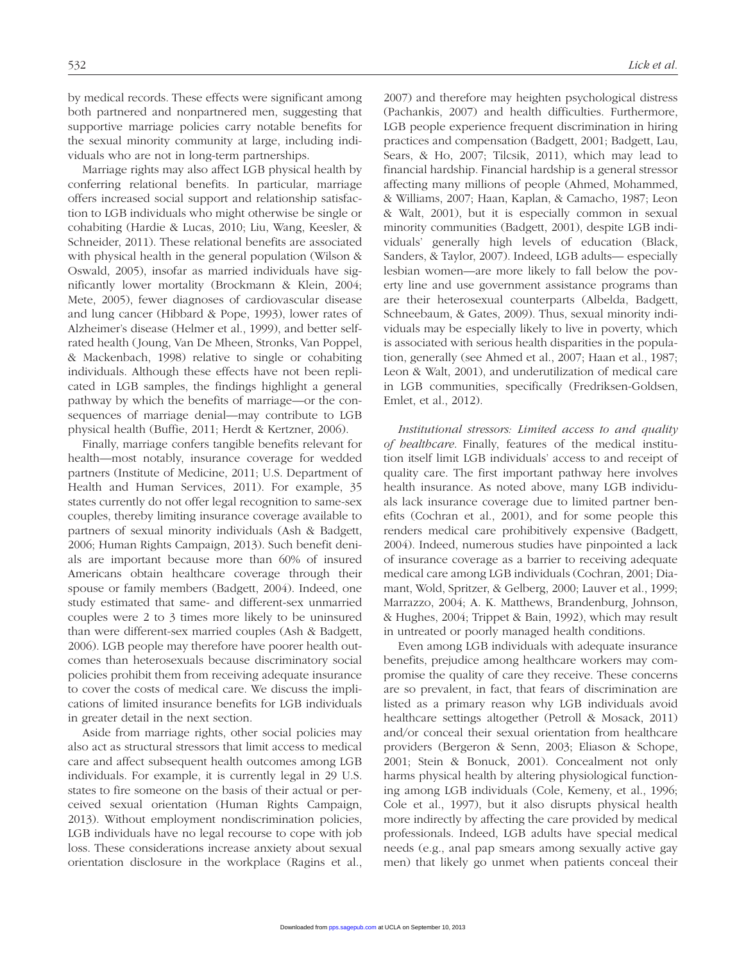by medical records. These effects were significant among both partnered and nonpartnered men, suggesting that supportive marriage policies carry notable benefits for the sexual minority community at large, including individuals who are not in long-term partnerships.

Marriage rights may also affect LGB physical health by conferring relational benefits. In particular, marriage offers increased social support and relationship satisfaction to LGB individuals who might otherwise be single or cohabiting (Hardie & Lucas, 2010; Liu, Wang, Keesler, & Schneider, 2011). These relational benefits are associated with physical health in the general population (Wilson & Oswald, 2005), insofar as married individuals have significantly lower mortality (Brockmann & Klein, 2004; Mete, 2005), fewer diagnoses of cardiovascular disease and lung cancer (Hibbard & Pope, 1993), lower rates of Alzheimer's disease (Helmer et al., 1999), and better selfrated health (Joung, Van De Mheen, Stronks, Van Poppel, & Mackenbach, 1998) relative to single or cohabiting individuals. Although these effects have not been replicated in LGB samples, the findings highlight a general pathway by which the benefits of marriage—or the consequences of marriage denial—may contribute to LGB physical health (Buffie, 2011; Herdt & Kertzner, 2006).

Finally, marriage confers tangible benefits relevant for health—most notably, insurance coverage for wedded partners (Institute of Medicine, 2011; U.S. Department of Health and Human Services, 2011). For example, 35 states currently do not offer legal recognition to same-sex couples, thereby limiting insurance coverage available to partners of sexual minority individuals (Ash & Badgett, 2006; Human Rights Campaign, 2013). Such benefit denials are important because more than 60% of insured Americans obtain healthcare coverage through their spouse or family members (Badgett, 2004). Indeed, one study estimated that same- and different-sex unmarried couples were 2 to 3 times more likely to be uninsured than were different-sex married couples (Ash & Badgett, 2006). LGB people may therefore have poorer health outcomes than heterosexuals because discriminatory social policies prohibit them from receiving adequate insurance to cover the costs of medical care. We discuss the implications of limited insurance benefits for LGB individuals in greater detail in the next section.

Aside from marriage rights, other social policies may also act as structural stressors that limit access to medical care and affect subsequent health outcomes among LGB individuals. For example, it is currently legal in 29 U.S. states to fire someone on the basis of their actual or perceived sexual orientation (Human Rights Campaign, 2013). Without employment nondiscrimination policies, LGB individuals have no legal recourse to cope with job loss. These considerations increase anxiety about sexual orientation disclosure in the workplace (Ragins et al.,

2007) and therefore may heighten psychological distress (Pachankis, 2007) and health difficulties. Furthermore, LGB people experience frequent discrimination in hiring practices and compensation (Badgett, 2001; Badgett, Lau, Sears, & Ho, 2007; Tilcsik, 2011), which may lead to financial hardship. Financial hardship is a general stressor affecting many millions of people (Ahmed, Mohammed, & Williams, 2007; Haan, Kaplan, & Camacho, 1987; Leon & Walt, 2001), but it is especially common in sexual minority communities (Badgett, 2001), despite LGB individuals' generally high levels of education (Black, Sanders, & Taylor, 2007). Indeed, LGB adults— especially lesbian women—are more likely to fall below the poverty line and use government assistance programs than are their heterosexual counterparts (Albelda, Badgett, Schneebaum, & Gates, 2009). Thus, sexual minority individuals may be especially likely to live in poverty, which is associated with serious health disparities in the population, generally (see Ahmed et al., 2007; Haan et al., 1987;

*Institutional stressors: Limited access to and quality of healthcare*. Finally, features of the medical institution itself limit LGB individuals' access to and receipt of quality care. The first important pathway here involves health insurance. As noted above, many LGB individuals lack insurance coverage due to limited partner benefits (Cochran et al., 2001), and for some people this renders medical care prohibitively expensive (Badgett, 2004). Indeed, numerous studies have pinpointed a lack of insurance coverage as a barrier to receiving adequate medical care among LGB individuals (Cochran, 2001; Diamant, Wold, Spritzer, & Gelberg, 2000; Lauver et al., 1999; Marrazzo, 2004; A. K. Matthews, Brandenburg, Johnson, & Hughes, 2004; Trippet & Bain, 1992), which may result in untreated or poorly managed health conditions.

Leon & Walt, 2001), and underutilization of medical care in LGB communities, specifically (Fredriksen-Goldsen,

Emlet, et al., 2012).

Even among LGB individuals with adequate insurance benefits, prejudice among healthcare workers may compromise the quality of care they receive. These concerns are so prevalent, in fact, that fears of discrimination are listed as a primary reason why LGB individuals avoid healthcare settings altogether (Petroll & Mosack, 2011) and/or conceal their sexual orientation from healthcare providers (Bergeron & Senn, 2003; Eliason & Schope, 2001; Stein & Bonuck, 2001). Concealment not only harms physical health by altering physiological functioning among LGB individuals (Cole, Kemeny, et al., 1996; Cole et al., 1997), but it also disrupts physical health more indirectly by affecting the care provided by medical professionals. Indeed, LGB adults have special medical needs (e.g., anal pap smears among sexually active gay men) that likely go unmet when patients conceal their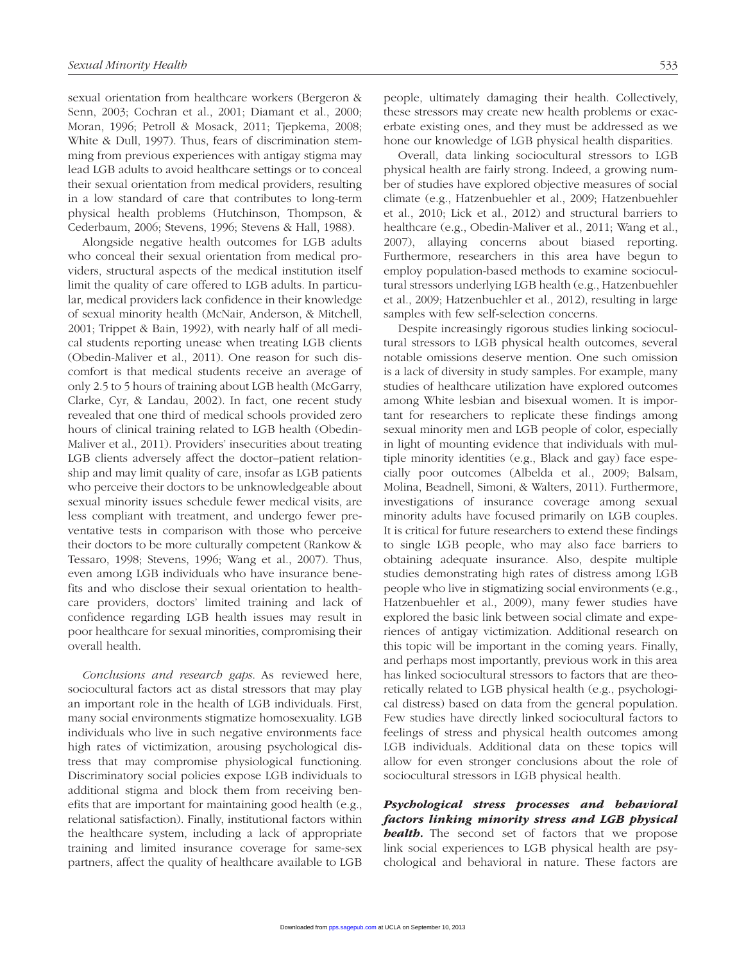sexual orientation from healthcare workers (Bergeron & Senn, 2003; Cochran et al., 2001; Diamant et al., 2000; Moran, 1996; Petroll & Mosack, 2011; Tjepkema, 2008; White & Dull, 1997). Thus, fears of discrimination stemming from previous experiences with antigay stigma may lead LGB adults to avoid healthcare settings or to conceal their sexual orientation from medical providers, resulting in a low standard of care that contributes to long-term physical health problems (Hutchinson, Thompson, & Cederbaum, 2006; Stevens, 1996; Stevens & Hall, 1988).

Alongside negative health outcomes for LGB adults who conceal their sexual orientation from medical providers, structural aspects of the medical institution itself limit the quality of care offered to LGB adults. In particular, medical providers lack confidence in their knowledge of sexual minority health (McNair, Anderson, & Mitchell, 2001; Trippet & Bain, 1992), with nearly half of all medical students reporting unease when treating LGB clients (Obedin-Maliver et al., 2011). One reason for such discomfort is that medical students receive an average of only 2.5 to 5 hours of training about LGB health (McGarry, Clarke, Cyr, & Landau, 2002). In fact, one recent study revealed that one third of medical schools provided zero hours of clinical training related to LGB health (Obedin-Maliver et al., 2011). Providers' insecurities about treating LGB clients adversely affect the doctor–patient relationship and may limit quality of care, insofar as LGB patients who perceive their doctors to be unknowledgeable about sexual minority issues schedule fewer medical visits, are less compliant with treatment, and undergo fewer preventative tests in comparison with those who perceive their doctors to be more culturally competent (Rankow & Tessaro, 1998; Stevens, 1996; Wang et al., 2007). Thus, even among LGB individuals who have insurance benefits and who disclose their sexual orientation to healthcare providers, doctors' limited training and lack of confidence regarding LGB health issues may result in poor healthcare for sexual minorities, compromising their overall health.

*Conclusions and research gaps*. As reviewed here, sociocultural factors act as distal stressors that may play an important role in the health of LGB individuals. First, many social environments stigmatize homosexuality. LGB individuals who live in such negative environments face high rates of victimization, arousing psychological distress that may compromise physiological functioning. Discriminatory social policies expose LGB individuals to additional stigma and block them from receiving benefits that are important for maintaining good health (e.g., relational satisfaction). Finally, institutional factors within the healthcare system, including a lack of appropriate training and limited insurance coverage for same-sex partners, affect the quality of healthcare available to LGB people, ultimately damaging their health. Collectively, these stressors may create new health problems or exacerbate existing ones, and they must be addressed as we hone our knowledge of LGB physical health disparities.

Overall, data linking sociocultural stressors to LGB physical health are fairly strong. Indeed, a growing number of studies have explored objective measures of social climate (e.g., Hatzenbuehler et al., 2009; Hatzenbuehler et al., 2010; Lick et al., 2012) and structural barriers to healthcare (e.g., Obedin-Maliver et al., 2011; Wang et al., 2007), allaying concerns about biased reporting. Furthermore, researchers in this area have begun to employ population-based methods to examine sociocultural stressors underlying LGB health (e.g., Hatzenbuehler et al., 2009; Hatzenbuehler et al., 2012), resulting in large samples with few self-selection concerns.

Despite increasingly rigorous studies linking sociocultural stressors to LGB physical health outcomes, several notable omissions deserve mention. One such omission is a lack of diversity in study samples. For example, many studies of healthcare utilization have explored outcomes among White lesbian and bisexual women. It is important for researchers to replicate these findings among sexual minority men and LGB people of color, especially in light of mounting evidence that individuals with multiple minority identities (e.g., Black and gay) face especially poor outcomes (Albelda et al., 2009; Balsam, Molina, Beadnell, Simoni, & Walters, 2011). Furthermore, investigations of insurance coverage among sexual minority adults have focused primarily on LGB couples. It is critical for future researchers to extend these findings to single LGB people, who may also face barriers to obtaining adequate insurance. Also, despite multiple studies demonstrating high rates of distress among LGB people who live in stigmatizing social environments (e.g., Hatzenbuehler et al., 2009), many fewer studies have explored the basic link between social climate and experiences of antigay victimization. Additional research on this topic will be important in the coming years. Finally, and perhaps most importantly, previous work in this area has linked sociocultural stressors to factors that are theoretically related to LGB physical health (e.g., psychological distress) based on data from the general population. Few studies have directly linked sociocultural factors to feelings of stress and physical health outcomes among LGB individuals. Additional data on these topics will allow for even stronger conclusions about the role of sociocultural stressors in LGB physical health.

*Psychological stress processes and behavioral factors linking minority stress and LGB physical health*. The second set of factors that we propose link social experiences to LGB physical health are psychological and behavioral in nature. These factors are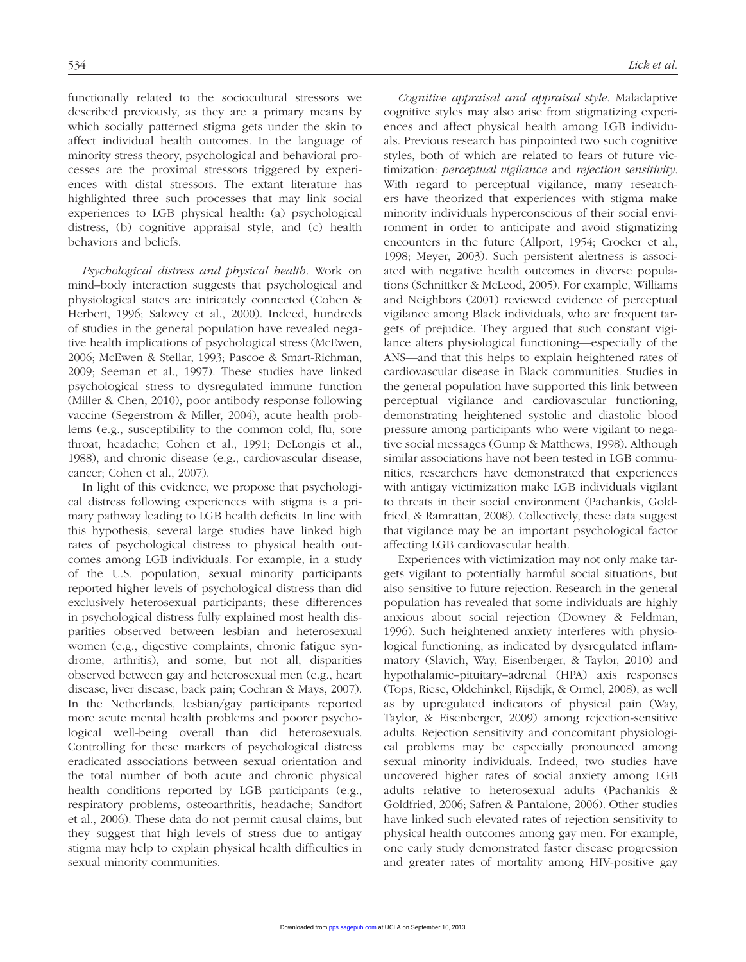functionally related to the sociocultural stressors we described previously, as they are a primary means by which socially patterned stigma gets under the skin to affect individual health outcomes. In the language of minority stress theory, psychological and behavioral processes are the proximal stressors triggered by experiences with distal stressors. The extant literature has highlighted three such processes that may link social experiences to LGB physical health: (a) psychological distress, (b) cognitive appraisal style, and (c) health behaviors and beliefs.

*Psychological distress and physical health*. Work on mind–body interaction suggests that psychological and physiological states are intricately connected (Cohen & Herbert, 1996; Salovey et al., 2000). Indeed, hundreds of studies in the general population have revealed negative health implications of psychological stress (McEwen, 2006; McEwen & Stellar, 1993; Pascoe & Smart-Richman, 2009; Seeman et al., 1997). These studies have linked psychological stress to dysregulated immune function (Miller & Chen, 2010), poor antibody response following vaccine (Segerstrom & Miller, 2004), acute health problems (e.g., susceptibility to the common cold, flu, sore throat, headache; Cohen et al., 1991; DeLongis et al., 1988), and chronic disease (e.g., cardiovascular disease, cancer; Cohen et al., 2007).

In light of this evidence, we propose that psychological distress following experiences with stigma is a primary pathway leading to LGB health deficits. In line with this hypothesis, several large studies have linked high rates of psychological distress to physical health outcomes among LGB individuals. For example, in a study of the U.S. population, sexual minority participants reported higher levels of psychological distress than did exclusively heterosexual participants; these differences in psychological distress fully explained most health disparities observed between lesbian and heterosexual women (e.g., digestive complaints, chronic fatigue syndrome, arthritis), and some, but not all, disparities observed between gay and heterosexual men (e.g., heart disease, liver disease, back pain; Cochran & Mays, 2007). In the Netherlands, lesbian/gay participants reported more acute mental health problems and poorer psychological well-being overall than did heterosexuals. Controlling for these markers of psychological distress eradicated associations between sexual orientation and the total number of both acute and chronic physical health conditions reported by LGB participants (e.g., respiratory problems, osteoarthritis, headache; Sandfort et al., 2006). These data do not permit causal claims, but they suggest that high levels of stress due to antigay stigma may help to explain physical health difficulties in sexual minority communities.

*Cognitive appraisal and appraisal style*. Maladaptive cognitive styles may also arise from stigmatizing experiences and affect physical health among LGB individuals. Previous research has pinpointed two such cognitive styles, both of which are related to fears of future victimization: *perceptual vigilance* and *rejection sensitivity*. With regard to perceptual vigilance, many researchers have theorized that experiences with stigma make minority individuals hyperconscious of their social environment in order to anticipate and avoid stigmatizing encounters in the future (Allport, 1954; Crocker et al., 1998; Meyer, 2003). Such persistent alertness is associated with negative health outcomes in diverse populations (Schnittker & McLeod, 2005). For example, Williams and Neighbors (2001) reviewed evidence of perceptual vigilance among Black individuals, who are frequent targets of prejudice. They argued that such constant vigilance alters physiological functioning—especially of the ANS—and that this helps to explain heightened rates of cardiovascular disease in Black communities. Studies in the general population have supported this link between perceptual vigilance and cardiovascular functioning, demonstrating heightened systolic and diastolic blood pressure among participants who were vigilant to negative social messages (Gump & Matthews, 1998). Although similar associations have not been tested in LGB communities, researchers have demonstrated that experiences with antigay victimization make LGB individuals vigilant to threats in their social environment (Pachankis, Goldfried, & Ramrattan, 2008). Collectively, these data suggest that vigilance may be an important psychological factor affecting LGB cardiovascular health.

Experiences with victimization may not only make targets vigilant to potentially harmful social situations, but also sensitive to future rejection. Research in the general population has revealed that some individuals are highly anxious about social rejection (Downey & Feldman, 1996). Such heightened anxiety interferes with physiological functioning, as indicated by dysregulated inflammatory (Slavich, Way, Eisenberger, & Taylor, 2010) and hypothalamic–pituitary–adrenal (HPA) axis responses (Tops, Riese, Oldehinkel, Rijsdijk, & Ormel, 2008), as well as by upregulated indicators of physical pain (Way, Taylor, & Eisenberger, 2009) among rejection-sensitive adults. Rejection sensitivity and concomitant physiological problems may be especially pronounced among sexual minority individuals. Indeed, two studies have uncovered higher rates of social anxiety among LGB adults relative to heterosexual adults (Pachankis & Goldfried, 2006; Safren & Pantalone, 2006). Other studies have linked such elevated rates of rejection sensitivity to physical health outcomes among gay men. For example, one early study demonstrated faster disease progression and greater rates of mortality among HIV-positive gay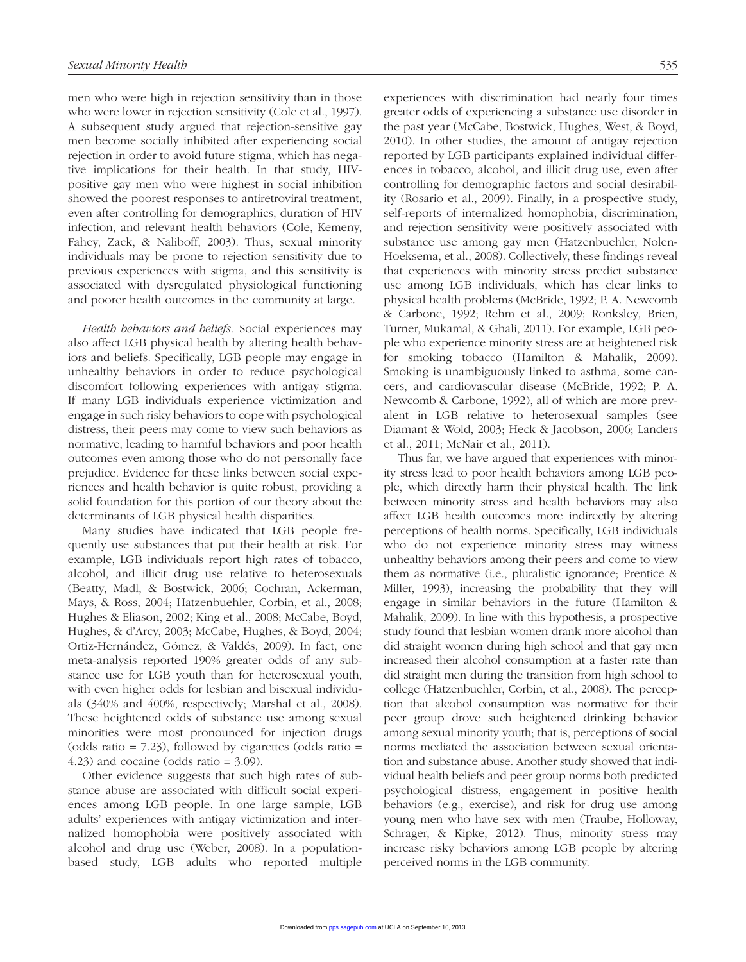men who were high in rejection sensitivity than in those who were lower in rejection sensitivity (Cole et al., 1997). A subsequent study argued that rejection-sensitive gay men become socially inhibited after experiencing social rejection in order to avoid future stigma, which has negative implications for their health. In that study, HIVpositive gay men who were highest in social inhibition showed the poorest responses to antiretroviral treatment, even after controlling for demographics, duration of HIV infection, and relevant health behaviors (Cole, Kemeny, Fahey, Zack, & Naliboff, 2003). Thus, sexual minority individuals may be prone to rejection sensitivity due to previous experiences with stigma, and this sensitivity is associated with dysregulated physiological functioning and poorer health outcomes in the community at large.

*Health behaviors and beliefs*. Social experiences may also affect LGB physical health by altering health behaviors and beliefs. Specifically, LGB people may engage in unhealthy behaviors in order to reduce psychological discomfort following experiences with antigay stigma. If many LGB individuals experience victimization and engage in such risky behaviors to cope with psychological distress, their peers may come to view such behaviors as normative, leading to harmful behaviors and poor health outcomes even among those who do not personally face prejudice. Evidence for these links between social experiences and health behavior is quite robust, providing a solid foundation for this portion of our theory about the determinants of LGB physical health disparities.

Many studies have indicated that LGB people frequently use substances that put their health at risk. For example, LGB individuals report high rates of tobacco, alcohol, and illicit drug use relative to heterosexuals (Beatty, Madl, & Bostwick, 2006; Cochran, Ackerman, Mays, & Ross, 2004; Hatzenbuehler, Corbin, et al., 2008; Hughes & Eliason, 2002; King et al., 2008; McCabe, Boyd, Hughes, & d'Arcy, 2003; McCabe, Hughes, & Boyd, 2004; Ortiz-Hernández, Gómez, & Valdés, 2009). In fact, one meta-analysis reported 190% greater odds of any substance use for LGB youth than for heterosexual youth, with even higher odds for lesbian and bisexual individuals (340% and 400%, respectively; Marshal et al., 2008). These heightened odds of substance use among sexual minorities were most pronounced for injection drugs (odds ratio  $= 7.23$ ), followed by cigarettes (odds ratio  $=$  $(4.23)$  and cocaine (odds ratio = 3.09).

Other evidence suggests that such high rates of substance abuse are associated with difficult social experiences among LGB people. In one large sample, LGB adults' experiences with antigay victimization and internalized homophobia were positively associated with alcohol and drug use (Weber, 2008). In a populationbased study, LGB adults who reported multiple experiences with discrimination had nearly four times greater odds of experiencing a substance use disorder in the past year (McCabe, Bostwick, Hughes, West, & Boyd, 2010). In other studies, the amount of antigay rejection reported by LGB participants explained individual differences in tobacco, alcohol, and illicit drug use, even after controlling for demographic factors and social desirability (Rosario et al., 2009). Finally, in a prospective study, self-reports of internalized homophobia, discrimination, and rejection sensitivity were positively associated with substance use among gay men (Hatzenbuehler, Nolen-Hoeksema, et al., 2008). Collectively, these findings reveal that experiences with minority stress predict substance use among LGB individuals, which has clear links to physical health problems (McBride, 1992; P. A. Newcomb & Carbone, 1992; Rehm et al., 2009; Ronksley, Brien, Turner, Mukamal, & Ghali, 2011). For example, LGB people who experience minority stress are at heightened risk for smoking tobacco (Hamilton & Mahalik, 2009). Smoking is unambiguously linked to asthma, some cancers, and cardiovascular disease (McBride, 1992; P. A. Newcomb & Carbone, 1992), all of which are more prevalent in LGB relative to heterosexual samples (see Diamant & Wold, 2003; Heck & Jacobson, 2006; Landers et al., 2011; McNair et al., 2011).

Thus far, we have argued that experiences with minority stress lead to poor health behaviors among LGB people, which directly harm their physical health. The link between minority stress and health behaviors may also affect LGB health outcomes more indirectly by altering perceptions of health norms. Specifically, LGB individuals who do not experience minority stress may witness unhealthy behaviors among their peers and come to view them as normative (i.e., pluralistic ignorance; Prentice & Miller, 1993), increasing the probability that they will engage in similar behaviors in the future (Hamilton & Mahalik, 2009). In line with this hypothesis, a prospective study found that lesbian women drank more alcohol than did straight women during high school and that gay men increased their alcohol consumption at a faster rate than did straight men during the transition from high school to college (Hatzenbuehler, Corbin, et al., 2008). The perception that alcohol consumption was normative for their peer group drove such heightened drinking behavior among sexual minority youth; that is, perceptions of social norms mediated the association between sexual orientation and substance abuse. Another study showed that individual health beliefs and peer group norms both predicted psychological distress, engagement in positive health behaviors (e.g., exercise), and risk for drug use among young men who have sex with men (Traube, Holloway, Schrager, & Kipke, 2012). Thus, minority stress may increase risky behaviors among LGB people by altering perceived norms in the LGB community.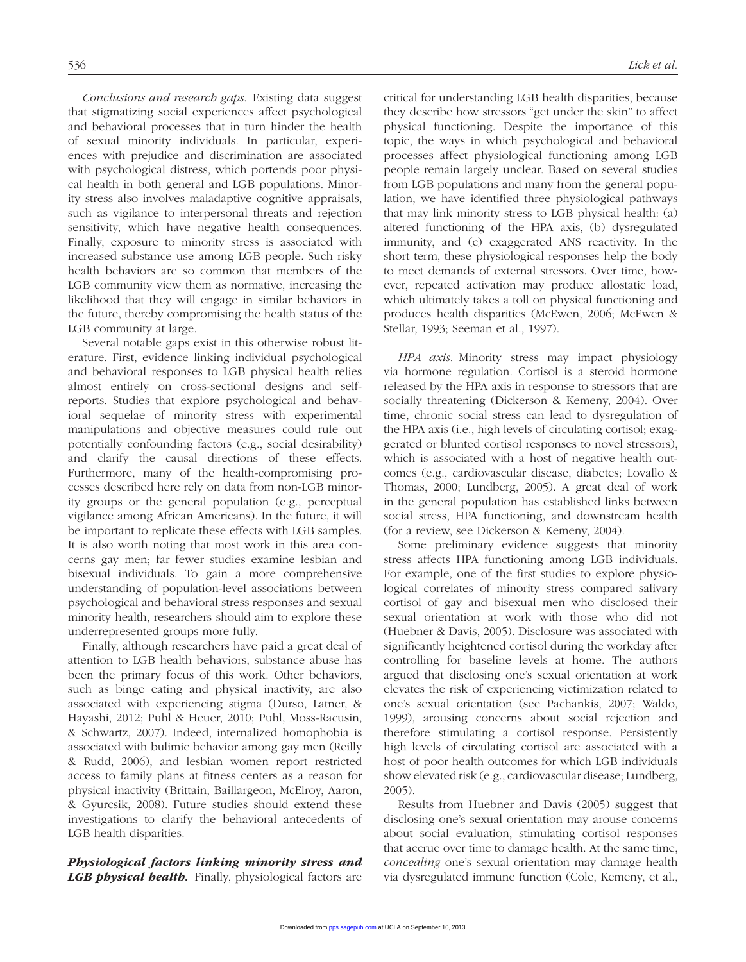*Conclusions and research gaps*. Existing data suggest that stigmatizing social experiences affect psychological and behavioral processes that in turn hinder the health of sexual minority individuals. In particular, experiences with prejudice and discrimination are associated with psychological distress, which portends poor physical health in both general and LGB populations. Minority stress also involves maladaptive cognitive appraisals, such as vigilance to interpersonal threats and rejection sensitivity, which have negative health consequences. Finally, exposure to minority stress is associated with increased substance use among LGB people. Such risky health behaviors are so common that members of the LGB community view them as normative, increasing the likelihood that they will engage in similar behaviors in the future, thereby compromising the health status of the LGB community at large.

Several notable gaps exist in this otherwise robust literature. First, evidence linking individual psychological and behavioral responses to LGB physical health relies almost entirely on cross-sectional designs and selfreports. Studies that explore psychological and behavioral sequelae of minority stress with experimental manipulations and objective measures could rule out potentially confounding factors (e.g., social desirability) and clarify the causal directions of these effects. Furthermore, many of the health-compromising processes described here rely on data from non-LGB minority groups or the general population (e.g., perceptual vigilance among African Americans). In the future, it will be important to replicate these effects with LGB samples. It is also worth noting that most work in this area concerns gay men; far fewer studies examine lesbian and bisexual individuals. To gain a more comprehensive understanding of population-level associations between psychological and behavioral stress responses and sexual minority health, researchers should aim to explore these underrepresented groups more fully.

Finally, although researchers have paid a great deal of attention to LGB health behaviors, substance abuse has been the primary focus of this work. Other behaviors, such as binge eating and physical inactivity, are also associated with experiencing stigma (Durso, Latner, & Hayashi, 2012; Puhl & Heuer, 2010; Puhl, Moss-Racusin, & Schwartz, 2007). Indeed, internalized homophobia is associated with bulimic behavior among gay men (Reilly & Rudd, 2006), and lesbian women report restricted access to family plans at fitness centers as a reason for physical inactivity (Brittain, Baillargeon, McElroy, Aaron, & Gyurcsik, 2008). Future studies should extend these investigations to clarify the behavioral antecedents of LGB health disparities.

*Physiological factors linking minority stress and LGB physical health.* Finally, physiological factors are critical for understanding LGB health disparities, because they describe how stressors "get under the skin" to affect physical functioning. Despite the importance of this topic, the ways in which psychological and behavioral processes affect physiological functioning among LGB people remain largely unclear. Based on several studies from LGB populations and many from the general population, we have identified three physiological pathways that may link minority stress to LGB physical health: (a) altered functioning of the HPA axis, (b) dysregulated immunity, and (c) exaggerated ANS reactivity. In the short term, these physiological responses help the body to meet demands of external stressors. Over time, however, repeated activation may produce allostatic load, which ultimately takes a toll on physical functioning and produces health disparities (McEwen, 2006; McEwen & Stellar, 1993; Seeman et al., 1997).

*HPA axis*. Minority stress may impact physiology via hormone regulation. Cortisol is a steroid hormone released by the HPA axis in response to stressors that are socially threatening (Dickerson & Kemeny, 2004). Over time, chronic social stress can lead to dysregulation of the HPA axis (i.e., high levels of circulating cortisol; exaggerated or blunted cortisol responses to novel stressors), which is associated with a host of negative health outcomes (e.g., cardiovascular disease, diabetes; Lovallo & Thomas, 2000; Lundberg, 2005). A great deal of work in the general population has established links between social stress, HPA functioning, and downstream health (for a review, see Dickerson & Kemeny, 2004).

Some preliminary evidence suggests that minority stress affects HPA functioning among LGB individuals. For example, one of the first studies to explore physiological correlates of minority stress compared salivary cortisol of gay and bisexual men who disclosed their sexual orientation at work with those who did not (Huebner & Davis, 2005). Disclosure was associated with significantly heightened cortisol during the workday after controlling for baseline levels at home. The authors argued that disclosing one's sexual orientation at work elevates the risk of experiencing victimization related to one's sexual orientation (see Pachankis, 2007; Waldo, 1999), arousing concerns about social rejection and therefore stimulating a cortisol response. Persistently high levels of circulating cortisol are associated with a host of poor health outcomes for which LGB individuals show elevated risk (e.g., cardiovascular disease; Lundberg, 2005).

Results from Huebner and Davis (2005) suggest that disclosing one's sexual orientation may arouse concerns about social evaluation, stimulating cortisol responses that accrue over time to damage health. At the same time, *concealing* one's sexual orientation may damage health via dysregulated immune function (Cole, Kemeny, et al.,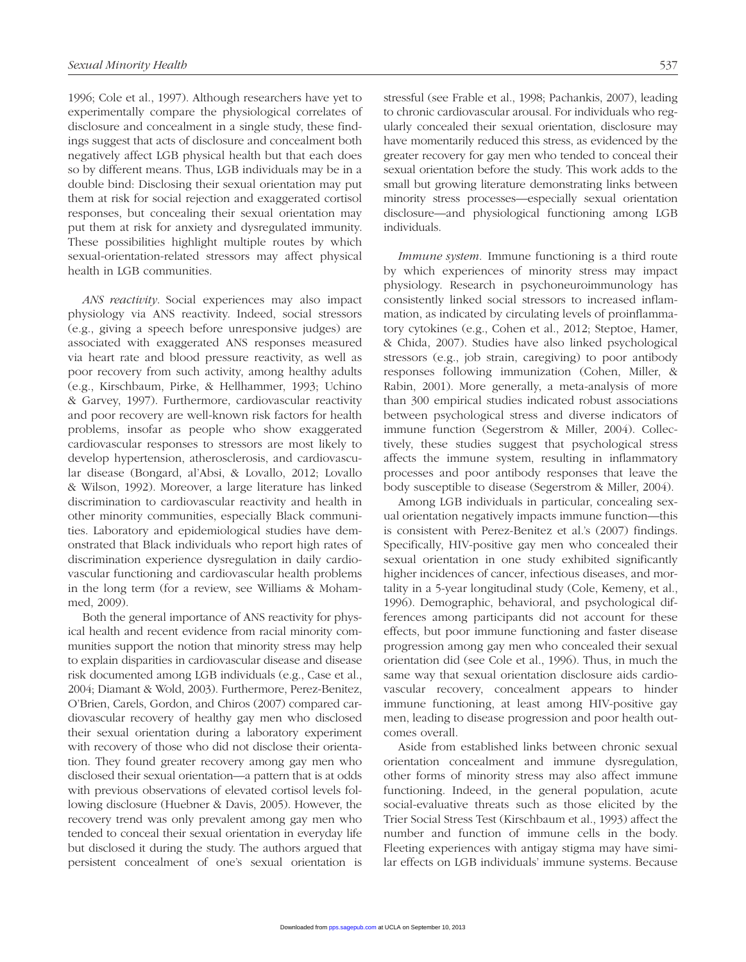1996; Cole et al., 1997). Although researchers have yet to experimentally compare the physiological correlates of disclosure and concealment in a single study, these findings suggest that acts of disclosure and concealment both negatively affect LGB physical health but that each does so by different means. Thus, LGB individuals may be in a double bind: Disclosing their sexual orientation may put them at risk for social rejection and exaggerated cortisol responses, but concealing their sexual orientation may put them at risk for anxiety and dysregulated immunity. These possibilities highlight multiple routes by which sexual-orientation-related stressors may affect physical health in LGB communities.

*ANS reactivity*. Social experiences may also impact physiology via ANS reactivity. Indeed, social stressors (e.g., giving a speech before unresponsive judges) are associated with exaggerated ANS responses measured via heart rate and blood pressure reactivity, as well as poor recovery from such activity, among healthy adults (e.g., Kirschbaum, Pirke, & Hellhammer, 1993; Uchino & Garvey, 1997). Furthermore, cardiovascular reactivity and poor recovery are well-known risk factors for health problems, insofar as people who show exaggerated cardiovascular responses to stressors are most likely to develop hypertension, atherosclerosis, and cardiovascular disease (Bongard, al'Absi, & Lovallo, 2012; Lovallo & Wilson, 1992). Moreover, a large literature has linked discrimination to cardiovascular reactivity and health in other minority communities, especially Black communities. Laboratory and epidemiological studies have demonstrated that Black individuals who report high rates of discrimination experience dysregulation in daily cardiovascular functioning and cardiovascular health problems in the long term (for a review, see Williams & Mohammed, 2009).

Both the general importance of ANS reactivity for physical health and recent evidence from racial minority communities support the notion that minority stress may help to explain disparities in cardiovascular disease and disease risk documented among LGB individuals (e.g., Case et al., 2004; Diamant & Wold, 2003). Furthermore, Perez-Benitez, O'Brien, Carels, Gordon, and Chiros (2007) compared cardiovascular recovery of healthy gay men who disclosed their sexual orientation during a laboratory experiment with recovery of those who did not disclose their orientation. They found greater recovery among gay men who disclosed their sexual orientation—a pattern that is at odds with previous observations of elevated cortisol levels following disclosure (Huebner & Davis, 2005). However, the recovery trend was only prevalent among gay men who tended to conceal their sexual orientation in everyday life but disclosed it during the study. The authors argued that persistent concealment of one's sexual orientation is

stressful (see Frable et al., 1998; Pachankis, 2007), leading to chronic cardiovascular arousal. For individuals who regularly concealed their sexual orientation, disclosure may have momentarily reduced this stress, as evidenced by the greater recovery for gay men who tended to conceal their sexual orientation before the study. This work adds to the small but growing literature demonstrating links between minority stress processes—especially sexual orientation disclosure—and physiological functioning among LGB individuals.

*Immune system*. Immune functioning is a third route by which experiences of minority stress may impact physiology. Research in psychoneuroimmunology has consistently linked social stressors to increased inflammation, as indicated by circulating levels of proinflammatory cytokines (e.g., Cohen et al., 2012; Steptoe, Hamer, & Chida, 2007). Studies have also linked psychological stressors (e.g., job strain, caregiving) to poor antibody responses following immunization (Cohen, Miller, & Rabin, 2001). More generally, a meta-analysis of more than 300 empirical studies indicated robust associations between psychological stress and diverse indicators of immune function (Segerstrom & Miller, 2004). Collectively, these studies suggest that psychological stress affects the immune system, resulting in inflammatory processes and poor antibody responses that leave the body susceptible to disease (Segerstrom & Miller, 2004).

Among LGB individuals in particular, concealing sexual orientation negatively impacts immune function—this is consistent with Perez-Benitez et al.'s (2007) findings. Specifically, HIV-positive gay men who concealed their sexual orientation in one study exhibited significantly higher incidences of cancer, infectious diseases, and mortality in a 5-year longitudinal study (Cole, Kemeny, et al., 1996). Demographic, behavioral, and psychological differences among participants did not account for these effects, but poor immune functioning and faster disease progression among gay men who concealed their sexual orientation did (see Cole et al., 1996). Thus, in much the same way that sexual orientation disclosure aids cardiovascular recovery, concealment appears to hinder immune functioning, at least among HIV-positive gay men, leading to disease progression and poor health outcomes overall.

Aside from established links between chronic sexual orientation concealment and immune dysregulation, other forms of minority stress may also affect immune functioning. Indeed, in the general population, acute social-evaluative threats such as those elicited by the Trier Social Stress Test (Kirschbaum et al., 1993) affect the number and function of immune cells in the body. Fleeting experiences with antigay stigma may have similar effects on LGB individuals' immune systems. Because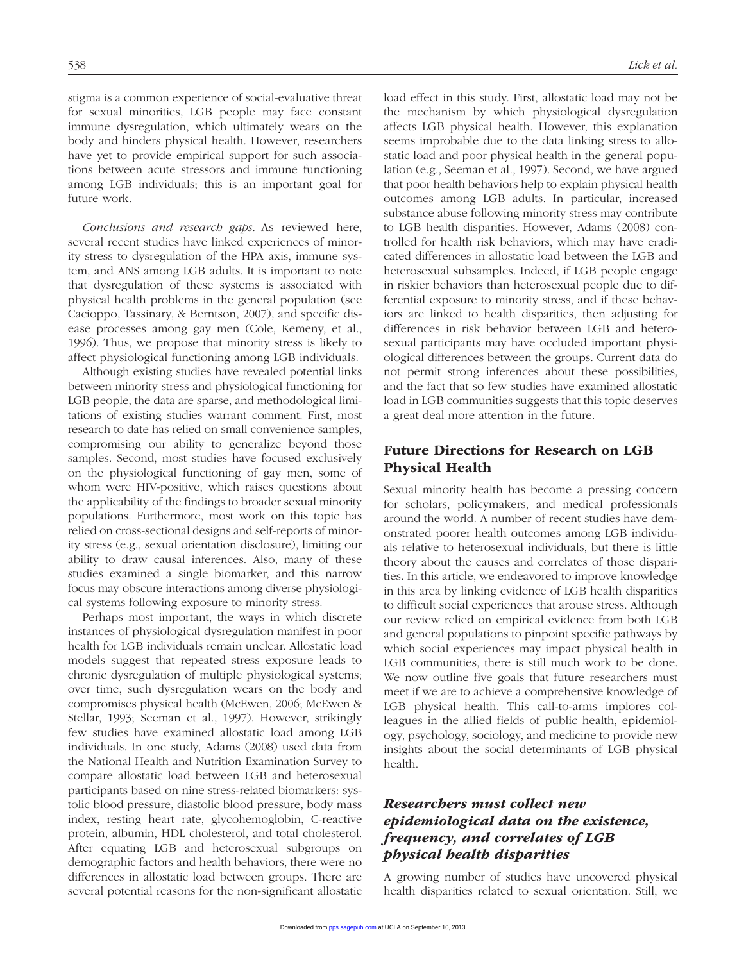stigma is a common experience of social-evaluative threat for sexual minorities, LGB people may face constant immune dysregulation, which ultimately wears on the body and hinders physical health. However, researchers have yet to provide empirical support for such associations between acute stressors and immune functioning among LGB individuals; this is an important goal for future work.

*Conclusions and research gaps*. As reviewed here, several recent studies have linked experiences of minority stress to dysregulation of the HPA axis, immune system, and ANS among LGB adults. It is important to note that dysregulation of these systems is associated with physical health problems in the general population (see Cacioppo, Tassinary, & Berntson, 2007), and specific disease processes among gay men (Cole, Kemeny, et al., 1996). Thus, we propose that minority stress is likely to affect physiological functioning among LGB individuals.

Although existing studies have revealed potential links between minority stress and physiological functioning for LGB people, the data are sparse, and methodological limitations of existing studies warrant comment. First, most research to date has relied on small convenience samples, compromising our ability to generalize beyond those samples. Second, most studies have focused exclusively on the physiological functioning of gay men, some of whom were HIV-positive, which raises questions about the applicability of the findings to broader sexual minority populations. Furthermore, most work on this topic has relied on cross-sectional designs and self-reports of minority stress (e.g., sexual orientation disclosure), limiting our ability to draw causal inferences. Also, many of these studies examined a single biomarker, and this narrow focus may obscure interactions among diverse physiological systems following exposure to minority stress.

Perhaps most important, the ways in which discrete instances of physiological dysregulation manifest in poor health for LGB individuals remain unclear. Allostatic load models suggest that repeated stress exposure leads to chronic dysregulation of multiple physiological systems; over time, such dysregulation wears on the body and compromises physical health (McEwen, 2006; McEwen & Stellar, 1993; Seeman et al., 1997). However, strikingly few studies have examined allostatic load among LGB individuals. In one study, Adams (2008) used data from the National Health and Nutrition Examination Survey to compare allostatic load between LGB and heterosexual participants based on nine stress-related biomarkers: systolic blood pressure, diastolic blood pressure, body mass index, resting heart rate, glycohemoglobin, C-reactive protein, albumin, HDL cholesterol, and total cholesterol. After equating LGB and heterosexual subgroups on demographic factors and health behaviors, there were no differences in allostatic load between groups. There are several potential reasons for the non-significant allostatic

load effect in this study. First, allostatic load may not be the mechanism by which physiological dysregulation affects LGB physical health. However, this explanation seems improbable due to the data linking stress to allostatic load and poor physical health in the general population (e.g., Seeman et al., 1997). Second, we have argued that poor health behaviors help to explain physical health outcomes among LGB adults. In particular, increased substance abuse following minority stress may contribute to LGB health disparities. However, Adams (2008) controlled for health risk behaviors, which may have eradicated differences in allostatic load between the LGB and heterosexual subsamples. Indeed, if LGB people engage in riskier behaviors than heterosexual people due to differential exposure to minority stress, and if these behaviors are linked to health disparities, then adjusting for differences in risk behavior between LGB and heterosexual participants may have occluded important physiological differences between the groups. Current data do not permit strong inferences about these possibilities, and the fact that so few studies have examined allostatic load in LGB communities suggests that this topic deserves a great deal more attention in the future.

## Future Directions for Research on LGB Physical Health

Sexual minority health has become a pressing concern for scholars, policymakers, and medical professionals around the world. A number of recent studies have demonstrated poorer health outcomes among LGB individuals relative to heterosexual individuals, but there is little theory about the causes and correlates of those disparities. In this article, we endeavored to improve knowledge in this area by linking evidence of LGB health disparities to difficult social experiences that arouse stress. Although our review relied on empirical evidence from both LGB and general populations to pinpoint specific pathways by which social experiences may impact physical health in LGB communities, there is still much work to be done. We now outline five goals that future researchers must meet if we are to achieve a comprehensive knowledge of LGB physical health. This call-to-arms implores colleagues in the allied fields of public health, epidemiology, psychology, sociology, and medicine to provide new insights about the social determinants of LGB physical health.

## *Researchers must collect new epidemiological data on the existence, frequency, and correlates of LGB physical health disparities*

A growing number of studies have uncovered physical health disparities related to sexual orientation. Still, we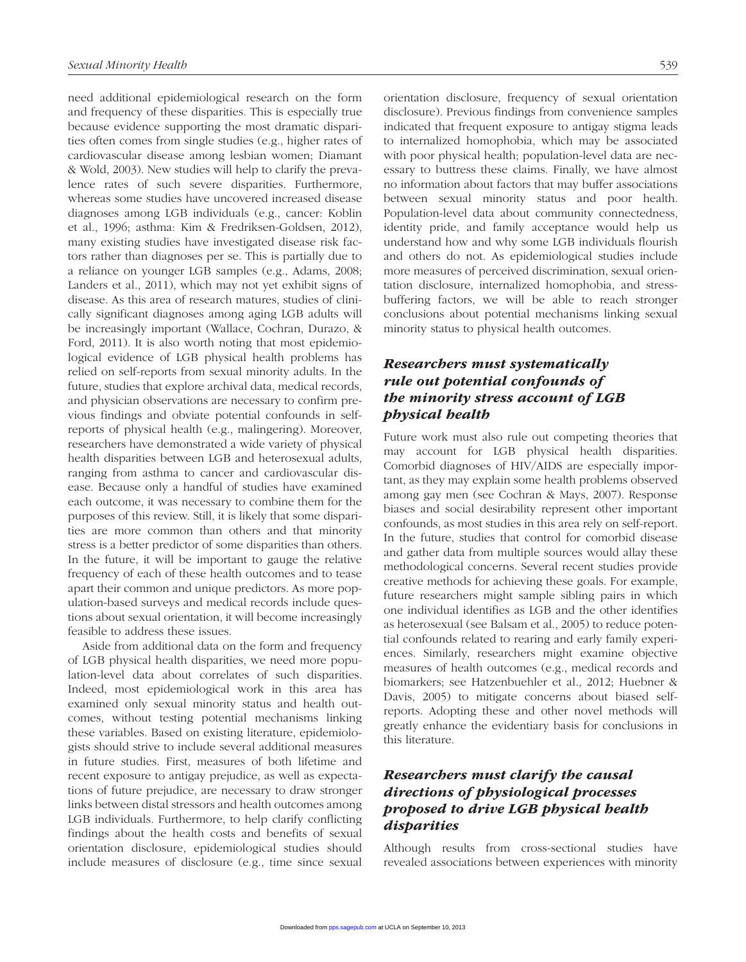need additional epidemiological research on the form and frequency of these disparities. This is especially true because evidence supporting the most dramatic disparities often comes from single studies (e.g., higher rates of cardiovascular disease among lesbian women; Diamant & Wold, 2003). New studies will help to clarify the prevalence rates of such severe disparities. Furthermore, whereas some studies have uncovered increased disease diagnoses among LGB individuals (e.g., cancer: Koblin et al., 1996; asthma: Kim & Fredriksen-Goldsen, 2012), many existing studies have investigated disease risk factors rather than diagnoses per se. This is partially due to a reliance on younger LGB samples (e.g., Adams, 2008; Landers et al., 2011), which may not yet exhibit signs of disease. As this area of research matures, studies of clinically significant diagnoses among aging LGB adults will be increasingly important (Wallace, Cochran, Durazo, & Ford, 2011). It is also worth noting that most epidemiological evidence of LGB physical health problems has relied on self-reports from sexual minority adults. In the future, studies that explore archival data, medical records, and physician observations are necessary to confirm previous findings and obviate potential confounds in selfreports of physical health (e.g., malingering). Moreover, researchers have demonstrated a wide variety of physical health disparities between LGB and heterosexual adults, ranging from asthma to cancer and cardiovascular disease. Because only a handful of studies have examined each outcome, it was necessary to combine them for the purposes of this review. Still, it is likely that some disparities are more common than others and that minority stress is a better predictor of some disparities than others. In the future, it will be important to gauge the relative frequency of each of these health outcomes and to tease apart their common and unique predictors. As more population-based surveys and medical records include questions about sexual orientation, it will become increasingly feasible to address these issues.

Aside from additional data on the form and frequency of LGB physical health disparities, we need more population-level data about correlates of such disparities. Indeed, most epidemiological work in this area has examined only sexual minority status and health outcomes, without testing potential mechanisms linking these variables. Based on existing literature, epidemiologists should strive to include several additional measures in future studies. First, measures of both lifetime and recent exposure to antigay prejudice, as well as expectations of future prejudice, are necessary to draw stronger links between distal stressors and health outcomes among LGB individuals. Furthermore, to help clarify conflicting findings about the health costs and benefits of sexual orientation disclosure, epidemiological studies should include measures of disclosure (e.g., time since sexual orientation disclosure, frequency of sexual orientation disclosure). Previous findings from convenience samples indicated that frequent exposure to antigay stigma leads to internalized homophobia, which may be associated with poor physical health; population-level data are necessary to buttress these claims. Finally, we have almost no information about factors that may buffer associations between sexual minority status and poor health. Population-level data about community connectedness, identity pride, and family acceptance would help us understand how and why some LGB individuals flourish and others do not. As epidemiological studies include more measures of perceived discrimination, sexual orientation disclosure, internalized homophobia, and stressbuffering factors, we will be able to reach stronger conclusions about potential mechanisms linking sexual minority status to physical health outcomes.

## *Researchers must systematically rule out potential confounds of the minority stress account of LGB physical health*

Future work must also rule out competing theories that may account for LGB physical health disparities. Comorbid diagnoses of HIV/AIDS are especially important, as they may explain some health problems observed among gay men (see Cochran & Mays, 2007). Response biases and social desirability represent other important confounds, as most studies in this area rely on self-report. In the future, studies that control for comorbid disease and gather data from multiple sources would allay these methodological concerns. Several recent studies provide creative methods for achieving these goals. For example, future researchers might sample sibling pairs in which one individual identifies as LGB and the other identifies as heterosexual (see Balsam et al., 2005) to reduce potential confounds related to rearing and early family experiences. Similarly, researchers might examine objective measures of health outcomes (e.g., medical records and biomarkers; see Hatzenbuehler et al., 2012; Huebner & Davis, 2005) to mitigate concerns about biased selfreports. Adopting these and other novel methods will greatly enhance the evidentiary basis for conclusions in this literature.

## *Researchers must clarify the causal directions of physiological processes proposed to drive LGB physical health disparities*

Although results from cross-sectional studies have revealed associations between experiences with minority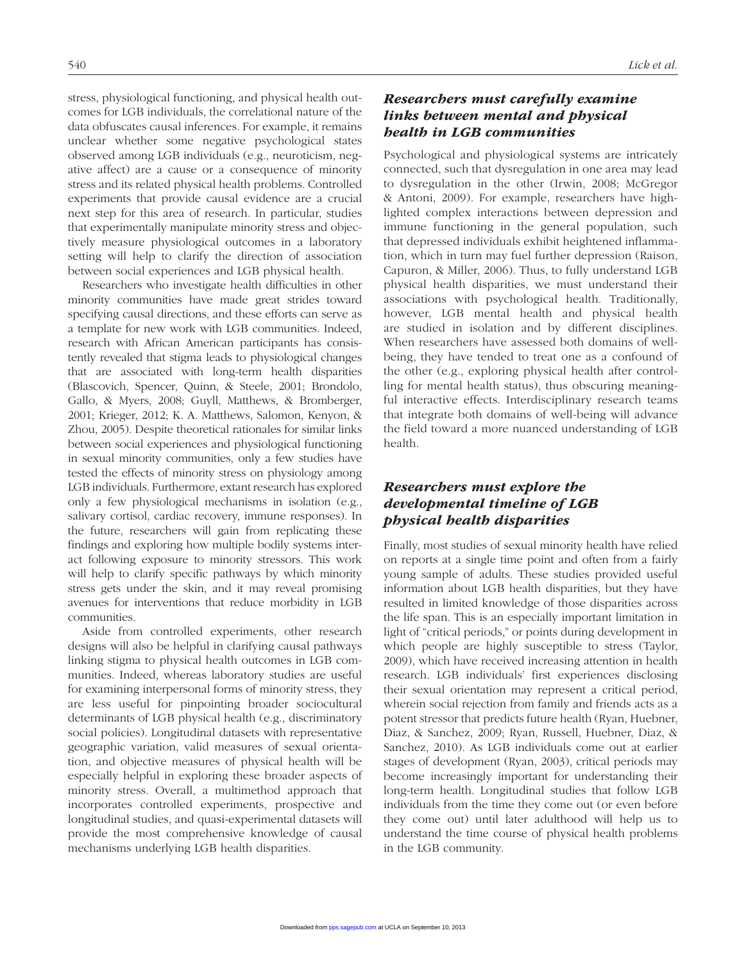stress, physiological functioning, and physical health outcomes for LGB individuals, the correlational nature of the data obfuscates causal inferences. For example, it remains unclear whether some negative psychological states observed among LGB individuals (e.g., neuroticism, negative affect) are a cause or a consequence of minority stress and its related physical health problems. Controlled experiments that provide causal evidence are a crucial next step for this area of research. In particular, studies that experimentally manipulate minority stress and objectively measure physiological outcomes in a laboratory setting will help to clarify the direction of association between social experiences and LGB physical health.

Researchers who investigate health difficulties in other minority communities have made great strides toward specifying causal directions, and these efforts can serve as a template for new work with LGB communities. Indeed, research with African American participants has consistently revealed that stigma leads to physiological changes that are associated with long-term health disparities (Blascovich, Spencer, Quinn, & Steele, 2001; Brondolo, Gallo, & Myers, 2008; Guyll, Matthews, & Bromberger, 2001; Krieger, 2012; K. A. Matthews, Salomon, Kenyon, & Zhou, 2005). Despite theoretical rationales for similar links between social experiences and physiological functioning in sexual minority communities, only a few studies have tested the effects of minority stress on physiology among LGB individuals. Furthermore, extant research has explored only a few physiological mechanisms in isolation (e.g., salivary cortisol, cardiac recovery, immune responses). In the future, researchers will gain from replicating these findings and exploring how multiple bodily systems interact following exposure to minority stressors. This work will help to clarify specific pathways by which minority stress gets under the skin, and it may reveal promising avenues for interventions that reduce morbidity in LGB communities.

Aside from controlled experiments, other research designs will also be helpful in clarifying causal pathways linking stigma to physical health outcomes in LGB communities. Indeed, whereas laboratory studies are useful for examining interpersonal forms of minority stress, they are less useful for pinpointing broader sociocultural determinants of LGB physical health (e.g., discriminatory social policies). Longitudinal datasets with representative geographic variation, valid measures of sexual orientation, and objective measures of physical health will be especially helpful in exploring these broader aspects of minority stress. Overall, a multimethod approach that incorporates controlled experiments, prospective and longitudinal studies, and quasi-experimental datasets will provide the most comprehensive knowledge of causal mechanisms underlying LGB health disparities.

## *Researchers must carefully examine links between mental and physical health in LGB communities*

Psychological and physiological systems are intricately connected, such that dysregulation in one area may lead to dysregulation in the other (Irwin, 2008; McGregor & Antoni, 2009). For example, researchers have highlighted complex interactions between depression and immune functioning in the general population, such that depressed individuals exhibit heightened inflammation, which in turn may fuel further depression (Raison, Capuron, & Miller, 2006). Thus, to fully understand LGB physical health disparities, we must understand their associations with psychological health. Traditionally, however, LGB mental health and physical health are studied in isolation and by different disciplines. When researchers have assessed both domains of wellbeing, they have tended to treat one as a confound of the other (e.g., exploring physical health after controlling for mental health status), thus obscuring meaningful interactive effects. Interdisciplinary research teams that integrate both domains of well-being will advance the field toward a more nuanced understanding of LGB health.

## *Researchers must explore the developmental timeline of LGB physical health disparities*

Finally, most studies of sexual minority health have relied on reports at a single time point and often from a fairly young sample of adults. These studies provided useful information about LGB health disparities, but they have resulted in limited knowledge of those disparities across the life span. This is an especially important limitation in light of "critical periods," or points during development in which people are highly susceptible to stress (Taylor, 2009), which have received increasing attention in health research. LGB individuals' first experiences disclosing their sexual orientation may represent a critical period, wherein social rejection from family and friends acts as a potent stressor that predicts future health (Ryan, Huebner, Diaz, & Sanchez, 2009; Ryan, Russell, Huebner, Diaz, & Sanchez, 2010). As LGB individuals come out at earlier stages of development (Ryan, 2003), critical periods may become increasingly important for understanding their long-term health. Longitudinal studies that follow LGB individuals from the time they come out (or even before they come out) until later adulthood will help us to understand the time course of physical health problems in the LGB community.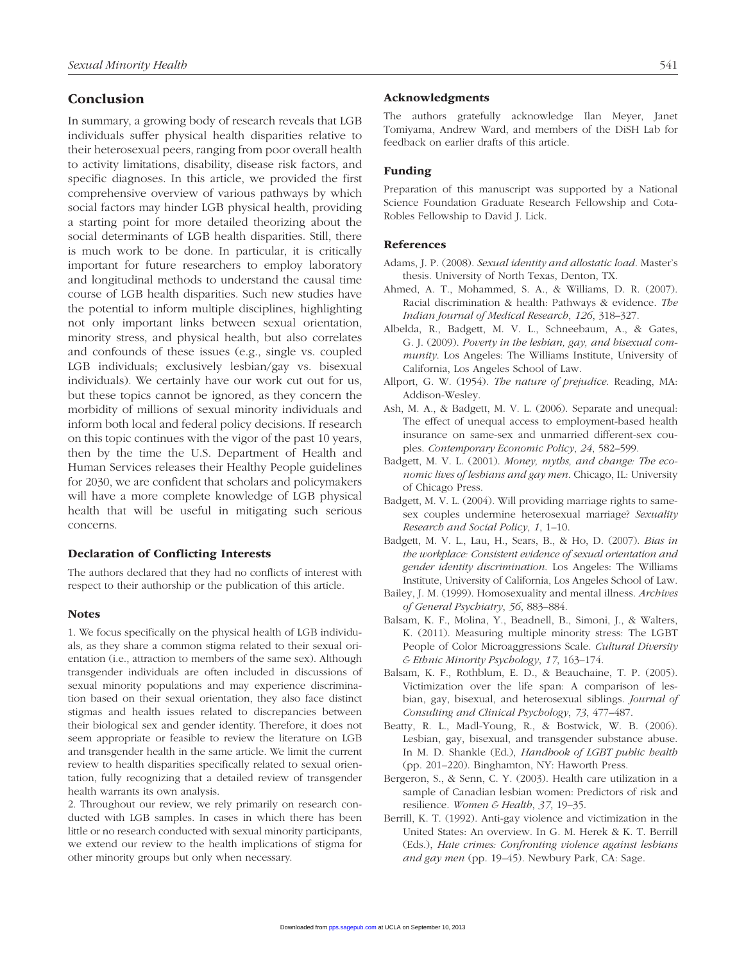#### Conclusion

In summary, a growing body of research reveals that LGB individuals suffer physical health disparities relative to their heterosexual peers, ranging from poor overall health to activity limitations, disability, disease risk factors, and specific diagnoses. In this article, we provided the first comprehensive overview of various pathways by which social factors may hinder LGB physical health, providing a starting point for more detailed theorizing about the social determinants of LGB health disparities. Still, there is much work to be done. In particular, it is critically important for future researchers to employ laboratory and longitudinal methods to understand the causal time course of LGB health disparities. Such new studies have the potential to inform multiple disciplines, highlighting not only important links between sexual orientation, minority stress, and physical health, but also correlates and confounds of these issues (e.g., single vs. coupled LGB individuals; exclusively lesbian/gay vs. bisexual individuals). We certainly have our work cut out for us, but these topics cannot be ignored, as they concern the morbidity of millions of sexual minority individuals and inform both local and federal policy decisions. If research on this topic continues with the vigor of the past 10 years, then by the time the U.S. Department of Health and Human Services releases their Healthy People guidelines for 2030, we are confident that scholars and policymakers will have a more complete knowledge of LGB physical health that will be useful in mitigating such serious concerns.

#### Declaration of Conflicting Interests

The authors declared that they had no conflicts of interest with respect to their authorship or the publication of this article.

#### Notes

1. We focus specifically on the physical health of LGB individuals, as they share a common stigma related to their sexual orientation (i.e., attraction to members of the same sex). Although transgender individuals are often included in discussions of sexual minority populations and may experience discrimination based on their sexual orientation, they also face distinct stigmas and health issues related to discrepancies between their biological sex and gender identity. Therefore, it does not seem appropriate or feasible to review the literature on LGB and transgender health in the same article. We limit the current review to health disparities specifically related to sexual orientation, fully recognizing that a detailed review of transgender health warrants its own analysis.

2. Throughout our review, we rely primarily on research conducted with LGB samples. In cases in which there has been little or no research conducted with sexual minority participants, we extend our review to the health implications of stigma for other minority groups but only when necessary.

#### Acknowledgments

The authors gratefully acknowledge Ilan Meyer, Janet Tomiyama, Andrew Ward, and members of the DiSH Lab for feedback on earlier drafts of this article.

#### Funding

Preparation of this manuscript was supported by a National Science Foundation Graduate Research Fellowship and Cota-Robles Fellowship to David J. Lick.

#### References

- Adams, J. P. (2008). *Sexual identity and allostatic load*. Master's thesis. University of North Texas, Denton, TX.
- Ahmed, A. T., Mohammed, S. A., & Williams, D. R. (2007). Racial discrimination & health: Pathways & evidence. *The Indian Journal of Medical Research*, *126*, 318–327.
- Albelda, R., Badgett, M. V. L., Schneebaum, A., & Gates, G. J. (2009). *Poverty in the lesbian, gay, and bisexual community*. Los Angeles: The Williams Institute, University of California, Los Angeles School of Law.
- Allport, G. W. (1954). *The nature of prejudice*. Reading, MA: Addison-Wesley.
- Ash, M. A., & Badgett, M. V. L. (2006). Separate and unequal: The effect of unequal access to employment-based health insurance on same-sex and unmarried different-sex couples. *Contemporary Economic Policy*, *24*, 582–599.
- Badgett, M. V. L. (2001). *Money, myths, and change: The economic lives of lesbians and gay men*. Chicago, IL: University of Chicago Press.
- Badgett, M. V. L. (2004). Will providing marriage rights to samesex couples undermine heterosexual marriage? *Sexuality Research and Social Policy*, *1*, 1–10.
- Badgett, M. V. L., Lau, H., Sears, B., & Ho, D. (2007). *Bias in the workplace: Consistent evidence of sexual orientation and gender identity discrimination*. Los Angeles: The Williams Institute, University of California, Los Angeles School of Law.
- Bailey, J. M. (1999). Homosexuality and mental illness. *Archives of General Psychiatry*, *56*, 883–884.
- Balsam, K. F., Molina, Y., Beadnell, B., Simoni, J., & Walters, K. (2011). Measuring multiple minority stress: The LGBT People of Color Microaggressions Scale. *Cultural Diversity & Ethnic Minority Psychology*, *17*, 163–174.
- Balsam, K. F., Rothblum, E. D., & Beauchaine, T. P. (2005). Victimization over the life span: A comparison of lesbian, gay, bisexual, and heterosexual siblings. *Journal of Consulting and Clinical Psychology*, *73*, 477–487.
- Beatty, R. L., Madl-Young, R., & Bostwick, W. B. (2006). Lesbian, gay, bisexual, and transgender substance abuse. In M. D. Shankle (Ed.), *Handbook of LGBT public health* (pp. 201–220). Binghamton, NY: Haworth Press.
- Bergeron, S., & Senn, C. Y. (2003). Health care utilization in a sample of Canadian lesbian women: Predictors of risk and resilience. *Women & Health*, *37*, 19–35.
- Berrill, K. T. (1992). Anti-gay violence and victimization in the United States: An overview. In G. M. Herek & K. T. Berrill (Eds.), *Hate crimes: Confronting violence against lesbians and gay men* (pp. 19–45). Newbury Park, CA: Sage.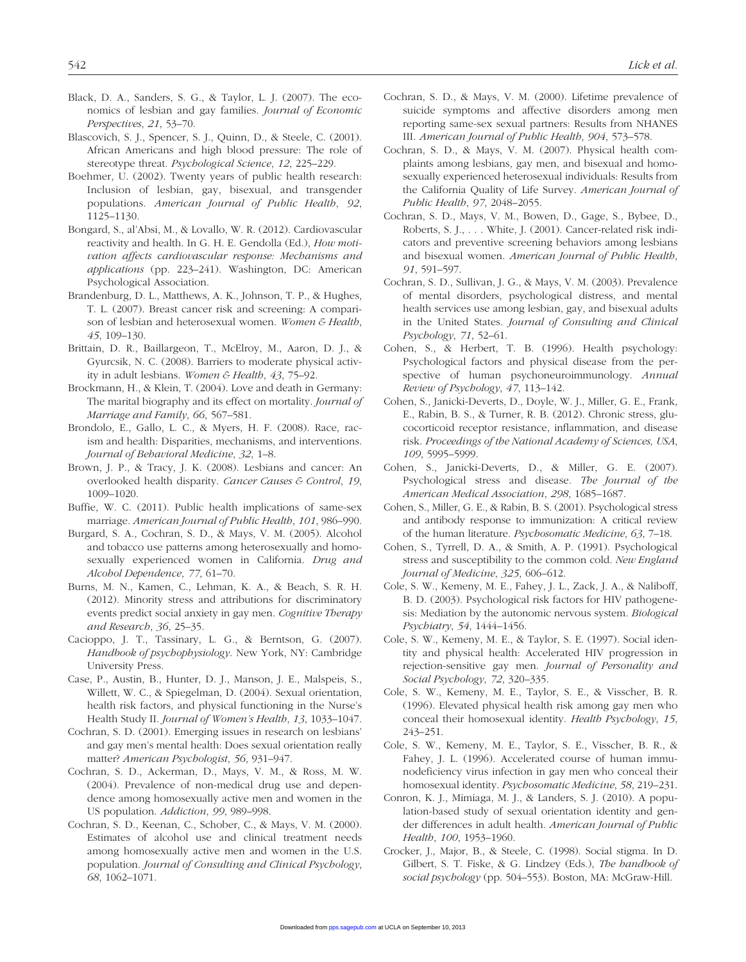- Black, D. A., Sanders, S. G., & Taylor, L. J. (2007). The economics of lesbian and gay families. *Journal of Economic Perspectives*, *21*, 53–70.
- Blascovich, S. J., Spencer, S. J., Quinn, D., & Steele, C. (2001). African Americans and high blood pressure: The role of stereotype threat. *Psychological Science*, *12*, 225–229.
- Boehmer, U. (2002). Twenty years of public health research: Inclusion of lesbian, gay, bisexual, and transgender populations. *American Journal of Public Health*, *92*, 1125–1130.
- Bongard, S., al'Absi, M., & Lovallo, W. R. (2012). Cardiovascular reactivity and health. In G. H. E. Gendolla (Ed.), *How motivation affects cardiovascular response: Mechanisms and applications* (pp. 223–241). Washington, DC: American Psychological Association.
- Brandenburg, D. L., Matthews, A. K., Johnson, T. P., & Hughes, T. L. (2007). Breast cancer risk and screening: A comparison of lesbian and heterosexual women. *Women & Health*, *45*, 109–130.
- Brittain, D. R., Baillargeon, T., McElroy, M., Aaron, D. J., & Gyurcsik, N. C. (2008). Barriers to moderate physical activity in adult lesbians. *Women & Health*, *43*, 75–92.
- Brockmann, H., & Klein, T. (2004). Love and death in Germany: The marital biography and its effect on mortality. *Journal of Marriage and Family*, *66*, 567–581.
- Brondolo, E., Gallo, L. C., & Myers, H. F. (2008). Race, racism and health: Disparities, mechanisms, and interventions. *Journal of Behavioral Medicine*, *32*, 1–8.
- Brown, J. P., & Tracy, J. K. (2008). Lesbians and cancer: An overlooked health disparity. *Cancer Causes & Control*, *19*, 1009–1020.
- Buffie, W. C. (2011). Public health implications of same-sex marriage. *American Journal of Public Health*, *101*, 986–990.
- Burgard, S. A., Cochran, S. D., & Mays, V. M. (2005). Alcohol and tobacco use patterns among heterosexually and homosexually experienced women in California. *Drug and Alcohol Dependence*, *77*, 61–70.
- Burns, M. N., Kamen, C., Lehman, K. A., & Beach, S. R. H. (2012). Minority stress and attributions for discriminatory events predict social anxiety in gay men. *Cognitive Therapy and Research*, *36*, 25–35.
- Cacioppo, J. T., Tassinary, L. G., & Berntson, G. (2007). *Handbook of psychophysiology*. New York, NY: Cambridge University Press.
- Case, P., Austin, B., Hunter, D. J., Manson, J. E., Malspeis, S., Willett, W. C., & Spiegelman, D. (2004). Sexual orientation, health risk factors, and physical functioning in the Nurse's Health Study II. *Journal of Women's Health*, *13*, 1033–1047.
- Cochran, S. D. (2001). Emerging issues in research on lesbians' and gay men's mental health: Does sexual orientation really matter? *American Psychologist*, *56*, 931–947.
- Cochran, S. D., Ackerman, D., Mays, V. M., & Ross, M. W. (2004). Prevalence of non-medical drug use and dependence among homosexually active men and women in the US population. *Addiction*, *99*, 989–998.
- Cochran, S. D., Keenan, C., Schober, C., & Mays, V. M. (2000). Estimates of alcohol use and clinical treatment needs among homosexually active men and women in the U.S. population. *Journal of Consulting and Clinical Psychology*, *68*, 1062–1071.
- Cochran, S. D., & Mays, V. M. (2000). Lifetime prevalence of suicide symptoms and affective disorders among men reporting same-sex sexual partners: Results from NHANES III. *American Journal of Public Health*, *904*, 573–578.
- Cochran, S. D., & Mays, V. M. (2007). Physical health complaints among lesbians, gay men, and bisexual and homosexually experienced heterosexual individuals: Results from the California Quality of Life Survey. *American Journal of Public Health*, *97*, 2048–2055.
- Cochran, S. D., Mays, V. M., Bowen, D., Gage, S., Bybee, D., Roberts, S. J., . . . White, J. (2001). Cancer-related risk indicators and preventive screening behaviors among lesbians and bisexual women. *American Journal of Public Health*, *91*, 591–597.
- Cochran, S. D., Sullivan, J. G., & Mays, V. M. (2003). Prevalence of mental disorders, psychological distress, and mental health services use among lesbian, gay, and bisexual adults in the United States. *Journal of Consulting and Clinical Psychology*, *71*, 52–61.
- Cohen, S., & Herbert, T. B. (1996). Health psychology: Psychological factors and physical disease from the perspective of human psychoneuroimmunology. *Annual Review of Psychology*, *47*, 113–142.
- Cohen, S., Janicki-Deverts, D., Doyle, W. J., Miller, G. E., Frank, E., Rabin, B. S., & Turner, R. B. (2012). Chronic stress, glucocorticoid receptor resistance, inflammation, and disease risk. *Proceedings of the National Academy of Sciences, USA*, *109*, 5995–5999.
- Cohen, S., Janicki-Deverts, D., & Miller, G. E. (2007). Psychological stress and disease. *The Journal of the American Medical Association*, *298*, 1685–1687.
- Cohen, S., Miller, G. E., & Rabin, B. S. (2001). Psychological stress and antibody response to immunization: A critical review of the human literature. *Psychosomatic Medicine*, *63*, 7–18.
- Cohen, S., Tyrrell, D. A., & Smith, A. P. (1991). Psychological stress and susceptibility to the common cold. *New England Journal of Medicine*, *325*, 606–612.
- Cole, S. W., Kemeny, M. E., Fahey, J. L., Zack, J. A., & Naliboff, B. D. (2003). Psychological risk factors for HIV pathogenesis: Mediation by the autonomic nervous system. *Biological Psychiatry*, *54*, 1444–1456.
- Cole, S. W., Kemeny, M. E., & Taylor, S. E. (1997). Social identity and physical health: Accelerated HIV progression in rejection-sensitive gay men. *Journal of Personality and Social Psychology*, *72*, 320–335.
- Cole, S. W., Kemeny, M. E., Taylor, S. E., & Visscher, B. R. (1996). Elevated physical health risk among gay men who conceal their homosexual identity. *Health Psychology*, *15*, 243–251.
- Cole, S. W., Kemeny, M. E., Taylor, S. E., Visscher, B. R., & Fahey, J. L. (1996). Accelerated course of human immunodeficiency virus infection in gay men who conceal their homosexual identity. *Psychosomatic Medicine*, *58*, 219–231.
- Conron, K. J., Mimiaga, M. J., & Landers, S. J. (2010). A population-based study of sexual orientation identity and gender differences in adult health. *American Journal of Public Health*, *100*, 1953–1960.
- Crocker, J., Major, B., & Steele, C. (1998). Social stigma. In D. Gilbert, S. T. Fiske, & G. Lindzey (Eds.), *The handbook of social psychology* (pp. 504–553). Boston, MA: McGraw-Hill.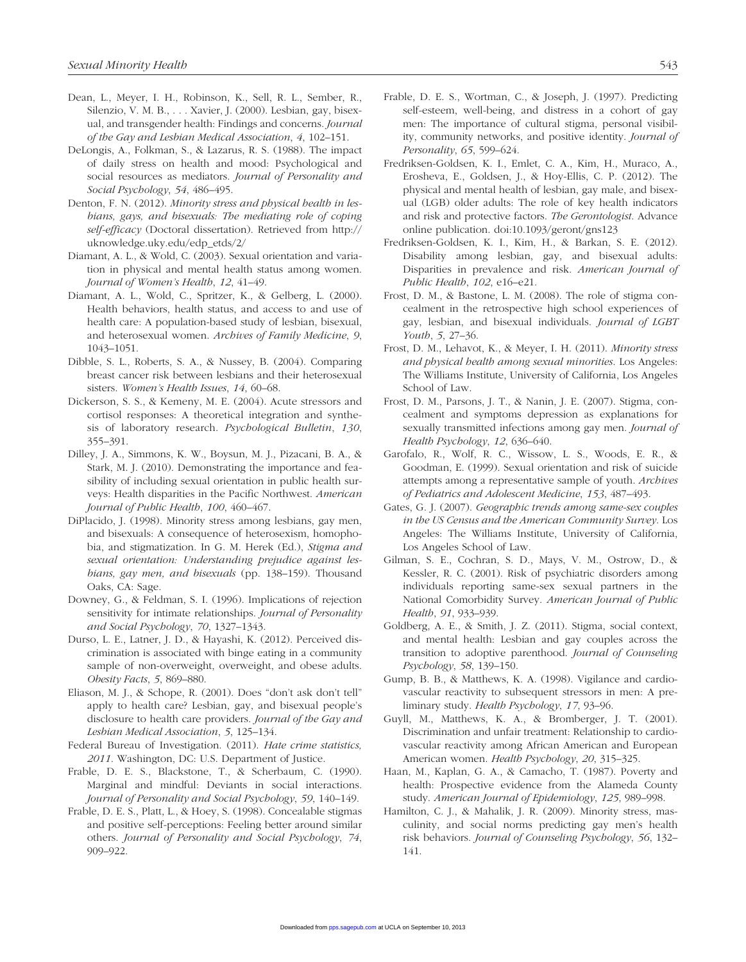- Dean, L., Meyer, I. H., Robinson, K., Sell, R. L., Sember, R., Silenzio, V. M. B., . . . Xavier, J. (2000). Lesbian, gay, bisexual, and transgender health: Findings and concerns. *Journal of the Gay and Lesbian Medical Association*, *4*, 102–151.
- DeLongis, A., Folkman, S., & Lazarus, R. S. (1988). The impact of daily stress on health and mood: Psychological and social resources as mediators. *Journal of Personality and Social Psychology*, *54*, 486–495.
- Denton, F. N. (2012). *Minority stress and physical health in lesbians, gays, and bisexuals: The mediating role of coping self-efficacy* (Doctoral dissertation). Retrieved from http:// uknowledge.uky.edu/edp\_etds/2/
- Diamant, A. L., & Wold, C. (2003). Sexual orientation and variation in physical and mental health status among women. *Journal of Women's Health*, *12*, 41–49.
- Diamant, A. L., Wold, C., Spritzer, K., & Gelberg, L. (2000). Health behaviors, health status, and access to and use of health care: A population-based study of lesbian, bisexual, and heterosexual women. *Archives of Family Medicine*, *9*, 1043–1051.
- Dibble, S. L., Roberts, S. A., & Nussey, B. (2004). Comparing breast cancer risk between lesbians and their heterosexual sisters. *Women's Health Issues*, *14*, 60–68.
- Dickerson, S. S., & Kemeny, M. E. (2004). Acute stressors and cortisol responses: A theoretical integration and synthesis of laboratory research. *Psychological Bulletin*, *130*, 355–391.
- Dilley, J. A., Simmons, K. W., Boysun, M. J., Pizacani, B. A., & Stark, M. J. (2010). Demonstrating the importance and feasibility of including sexual orientation in public health surveys: Health disparities in the Pacific Northwest. *American Journal of Public Health*, *100*, 460–467.
- DiPlacido, J. (1998). Minority stress among lesbians, gay men, and bisexuals: A consequence of heterosexism, homophobia, and stigmatization. In G. M. Herek (Ed.), *Stigma and sexual orientation: Understanding prejudice against lesbians, gay men, and bisexuals* (pp. 138–159). Thousand Oaks, CA: Sage.
- Downey, G., & Feldman, S. I. (1996). Implications of rejection sensitivity for intimate relationships. *Journal of Personality and Social Psychology*, *70*, 1327–1343.
- Durso, L. E., Latner, J. D., & Hayashi, K. (2012). Perceived discrimination is associated with binge eating in a community sample of non-overweight, overweight, and obese adults. *Obesity Facts*, *5*, 869–880.
- Eliason, M. J., & Schope, R. (2001). Does "don't ask don't tell" apply to health care? Lesbian, gay, and bisexual people's disclosure to health care providers. *Journal of the Gay and Lesbian Medical Association*, *5*, 125–134.
- Federal Bureau of Investigation. (2011). *Hate crime statistics, 2011*. Washington, DC: U.S. Department of Justice.
- Frable, D. E. S., Blackstone, T., & Scherbaum, C. (1990). Marginal and mindful: Deviants in social interactions. *Journal of Personality and Social Psychology*, *59*, 140–149.
- Frable, D. E. S., Platt, L., & Hoey, S. (1998). Concealable stigmas and positive self-perceptions: Feeling better around similar others. *Journal of Personality and Social Psychology*, *74*, 909–922.
- Frable, D. E. S., Wortman, C., & Joseph, J. (1997). Predicting self-esteem, well-being, and distress in a cohort of gay men: The importance of cultural stigma, personal visibility, community networks, and positive identity. *Journal of Personality*, *65*, 599–624.
- Fredriksen-Goldsen, K. I., Emlet, C. A., Kim, H., Muraco, A., Erosheva, E., Goldsen, J., & Hoy-Ellis, C. P. (2012). The physical and mental health of lesbian, gay male, and bisexual (LGB) older adults: The role of key health indicators and risk and protective factors. *The Gerontologist*. Advance online publication. doi:10.1093/geront/gns123
- Fredriksen-Goldsen, K. I., Kim, H., & Barkan, S. E. (2012). Disability among lesbian, gay, and bisexual adults: Disparities in prevalence and risk. *American Journal of Public Health*, *102*, e16–e21.
- Frost, D. M., & Bastone, L. M. (2008). The role of stigma concealment in the retrospective high school experiences of gay, lesbian, and bisexual individuals. *Journal of LGBT Youth*, *5*, 27–36.
- Frost, D. M., Lehavot, K., & Meyer, I. H. (2011). *Minority stress and physical health among sexual minorities*. Los Angeles: The Williams Institute, University of California, Los Angeles School of Law.
- Frost, D. M., Parsons, J. T., & Nanin, J. E. (2007). Stigma, concealment and symptoms depression as explanations for sexually transmitted infections among gay men. *Journal of Health Psychology*, *12*, 636–640.
- Garofalo, R., Wolf, R. C., Wissow, L. S., Woods, E. R., & Goodman, E. (1999). Sexual orientation and risk of suicide attempts among a representative sample of youth. *Archives of Pediatrics and Adolescent Medicine*, *153*, 487–493.
- Gates, G. J. (2007). *Geographic trends among same-sex couples in the US Census and the American Community Survey*. Los Angeles: The Williams Institute, University of California, Los Angeles School of Law.
- Gilman, S. E., Cochran, S. D., Mays, V. M., Ostrow, D., & Kessler, R. C. (2001). Risk of psychiatric disorders among individuals reporting same-sex sexual partners in the National Comorbidity Survey. *American Journal of Public Health*, *91*, 933–939.
- Goldberg, A. E., & Smith, J. Z. (2011). Stigma, social context, and mental health: Lesbian and gay couples across the transition to adoptive parenthood. *Journal of Counseling Psychology*, *58*, 139–150.
- Gump, B. B., & Matthews, K. A. (1998). Vigilance and cardiovascular reactivity to subsequent stressors in men: A preliminary study. *Health Psychology*, *17*, 93–96.
- Guyll, M., Matthews, K. A., & Bromberger, J. T. (2001). Discrimination and unfair treatment: Relationship to cardiovascular reactivity among African American and European American women. *Health Psychology*, *20*, 315–325.
- Haan, M., Kaplan, G. A., & Camacho, T. (1987). Poverty and health: Prospective evidence from the Alameda County study. *American Journal of Epidemiology*, *125*, 989–998.
- Hamilton, C. J., & Mahalik, J. R. (2009). Minority stress, masculinity, and social norms predicting gay men's health risk behaviors. *Journal of Counseling Psychology*, *56*, 132– 141.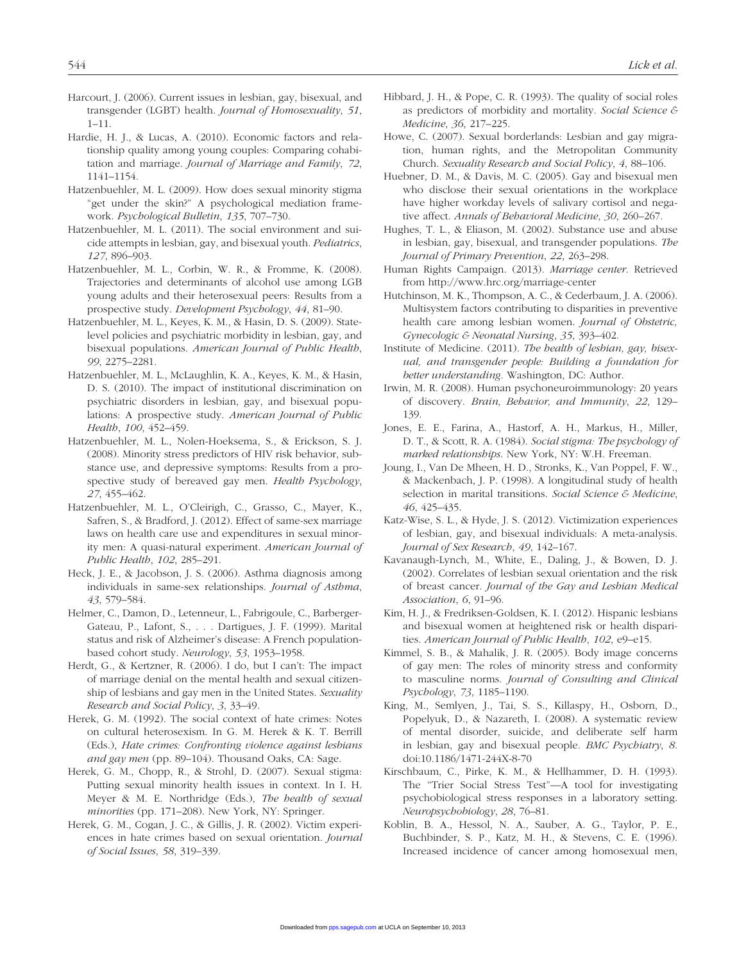- Harcourt, J. (2006). Current issues in lesbian, gay, bisexual, and transgender (LGBT) health. *Journal of Homosexuality*, *51*, 1–11.
- Hardie, H. J., & Lucas, A. (2010). Economic factors and relationship quality among young couples: Comparing cohabitation and marriage. *Journal of Marriage and Family*, *72*, 1141–1154.
- Hatzenbuehler, M. L. (2009). How does sexual minority stigma "get under the skin?" A psychological mediation framework. *Psychological Bulletin*, *135*, 707–730.
- Hatzenbuehler, M. L. (2011). The social environment and suicide attempts in lesbian, gay, and bisexual youth. *Pediatrics*, *127*, 896–903.
- Hatzenbuehler, M. L., Corbin, W. R., & Fromme, K. (2008). Trajectories and determinants of alcohol use among LGB young adults and their heterosexual peers: Results from a prospective study. *Development Psychology*, *44*, 81–90.
- Hatzenbuehler, M. L., Keyes, K. M., & Hasin, D. S. (2009). Statelevel policies and psychiatric morbidity in lesbian, gay, and bisexual populations. *American Journal of Public Health*, *99*, 2275–2281.
- Hatzenbuehler, M. L., McLaughlin, K. A., Keyes, K. M., & Hasin, D. S. (2010). The impact of institutional discrimination on psychiatric disorders in lesbian, gay, and bisexual populations: A prospective study. *American Journal of Public Health*, *100*, 452–459.
- Hatzenbuehler, M. L., Nolen-Hoeksema, S., & Erickson, S. J. (2008). Minority stress predictors of HIV risk behavior, substance use, and depressive symptoms: Results from a prospective study of bereaved gay men. *Health Psychology*, *27*, 455–462.
- Hatzenbuehler, M. L., O'Cleirigh, C., Grasso, C., Mayer, K., Safren, S., & Bradford, J. (2012). Effect of same-sex marriage laws on health care use and expenditures in sexual minority men: A quasi-natural experiment. *American Journal of Public Health*, *102*, 285–291.
- Heck, J. E., & Jacobson, J. S. (2006). Asthma diagnosis among individuals in same-sex relationships. *Journal of Asthma*, *43*, 579–584.
- Helmer, C., Damon, D., Letenneur, L., Fabrigoule, C., Barberger-Gateau, P., Lafont, S., . . . Dartigues, J. F. (1999). Marital status and risk of Alzheimer's disease: A French populationbased cohort study. *Neurology*, *53*, 1953–1958.
- Herdt, G., & Kertzner, R. (2006). I do, but I can't: The impact of marriage denial on the mental health and sexual citizenship of lesbians and gay men in the United States. *Sexuality Research and Social Policy*, *3*, 33–49.
- Herek, G. M. (1992). The social context of hate crimes: Notes on cultural heterosexism. In G. M. Herek & K. T. Berrill (Eds.), *Hate crimes: Confronting violence against lesbians and gay men* (pp. 89–104). Thousand Oaks, CA: Sage.
- Herek, G. M., Chopp, R., & Strohl, D. (2007). Sexual stigma: Putting sexual minority health issues in context. In I. H. Meyer & M. E. Northridge (Eds.), *The health of sexual minorities* (pp. 171–208). New York, NY: Springer.
- Herek, G. M., Cogan, J. C., & Gillis, J. R. (2002). Victim experiences in hate crimes based on sexual orientation. *Journal of Social Issues*, *58*, 319–339.
- Hibbard, J. H., & Pope, C. R. (1993). The quality of social roles as predictors of morbidity and mortality. *Social Science & Medicine*, *36*, 217–225.
- Howe, C. (2007). Sexual borderlands: Lesbian and gay migration, human rights, and the Metropolitan Community Church. *Sexuality Research and Social Policy*, *4*, 88–106.
- Huebner, D. M., & Davis, M. C. (2005). Gay and bisexual men who disclose their sexual orientations in the workplace have higher workday levels of salivary cortisol and negative affect. *Annals of Behavioral Medicine*, *30*, 260–267.
- Hughes, T. L., & Eliason, M. (2002). Substance use and abuse in lesbian, gay, bisexual, and transgender populations. *The Journal of Primary Prevention*, *22*, 263–298.
- Human Rights Campaign. (2013). *Marriage center*. Retrieved from http://www.hrc.org/marriage-center
- Hutchinson, M. K., Thompson, A. C., & Cederbaum, J. A. (2006). Multisystem factors contributing to disparities in preventive health care among lesbian women. *Journal of Obstetric, Gynecologic & Neonatal Nursing*, *35*, 393–402.
- Institute of Medicine. (2011). *The health of lesbian, gay, bisexual, and transgender people: Building a foundation for better understanding*. Washington, DC: Author.
- Irwin, M. R. (2008). Human psychoneuroimmunology: 20 years of discovery. *Brain, Behavior, and Immunity*, *22*, 129– 139.
- Jones, E. E., Farina, A., Hastorf, A. H., Markus, H., Miller, D. T., & Scott, R. A. (1984). *Social stigma: The psychology of marked relationships*. New York, NY: W.H. Freeman.
- Joung, I., Van De Mheen, H. D., Stronks, K., Van Poppel, F. W., & Mackenbach, J. P. (1998). A longitudinal study of health selection in marital transitions. *Social Science & Medicine*, *46*, 425–435.
- Katz-Wise, S. L., & Hyde, J. S. (2012). Victimization experiences of lesbian, gay, and bisexual individuals: A meta-analysis. *Journal of Sex Research*, *49*, 142–167.
- Kavanaugh-Lynch, M., White, E., Daling, J., & Bowen, D. J. (2002). Correlates of lesbian sexual orientation and the risk of breast cancer. *Journal of the Gay and Lesbian Medical Association*, *6*, 91–96.
- Kim, H. J., & Fredriksen-Goldsen, K. I. (2012). Hispanic lesbians and bisexual women at heightened risk or health disparities. *American Journal of Public Health*, *102*, e9–e15.
- Kimmel, S. B., & Mahalik, J. R. (2005). Body image concerns of gay men: The roles of minority stress and conformity to masculine norms. *Journal of Consulting and Clinical Psychology*, *73*, 1185–1190.
- King, M., Semlyen, J., Tai, S. S., Killaspy, H., Osborn, D., Popelyuk, D., & Nazareth, I. (2008). A systematic review of mental disorder, suicide, and deliberate self harm in lesbian, gay and bisexual people. *BMC Psychiatry*, *8*. doi:10.1186/1471-244X-8-70
- Kirschbaum, C., Pirke, K. M., & Hellhammer, D. H. (1993). The "Trier Social Stress Test"—A tool for investigating psychobiological stress responses in a laboratory setting. *Neuropsychobiology*, *28*, 76–81.
- Koblin, B. A., Hessol, N. A., Sauber, A. G., Taylor, P. E., Buchbinder, S. P., Katz, M. H., & Stevens, C. E. (1996). Increased incidence of cancer among homosexual men,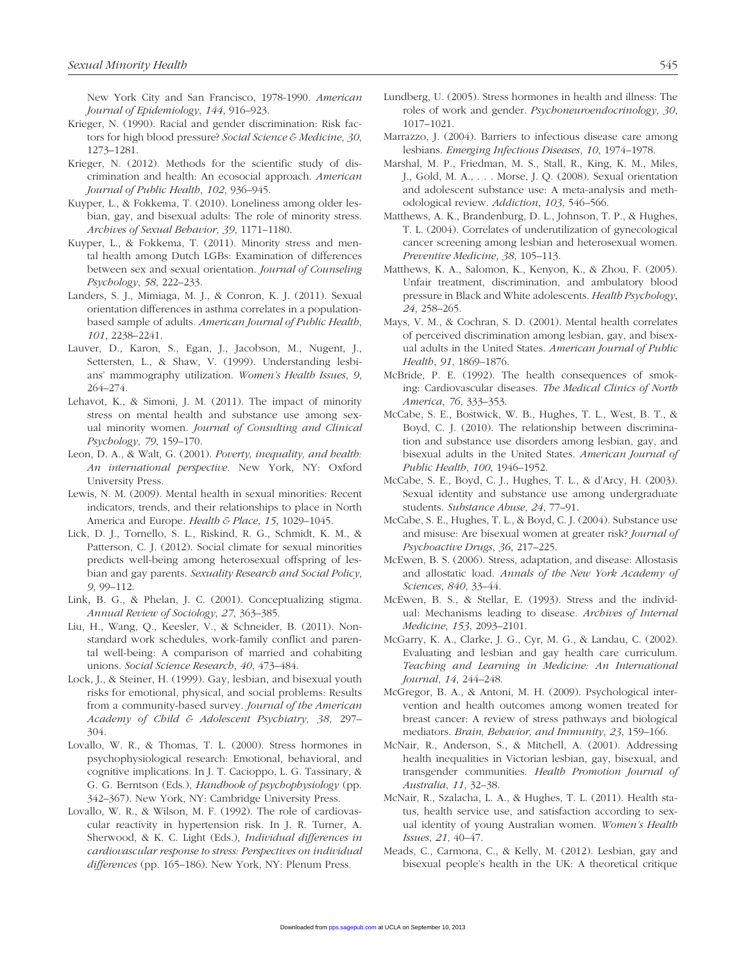New York City and San Francisco, 1978-1990. *American Journal of Epidemiology*, *144*, 916–923.

- Krieger, N. (1990). Racial and gender discrimination: Risk factors for high blood pressure? *Social Science & Medicine*, *30*, 1273–1281.
- Krieger, N. (2012). Methods for the scientific study of discrimination and health: An ecosocial approach. *American Journal of Public Health*, *102*, 936–945.
- Kuyper, L., & Fokkema, T. (2010). Loneliness among older lesbian, gay, and bisexual adults: The role of minority stress. *Archives of Sexual Behavior*, *39*, 1171–1180.
- Kuyper, L., & Fokkema, T. (2011). Minority stress and mental health among Dutch LGBs: Examination of differences between sex and sexual orientation. *Journal of Counseling Psychology*, *58*, 222–233.
- Landers, S. J., Mimiaga, M. J., & Conron, K. J. (2011). Sexual orientation differences in asthma correlates in a populationbased sample of adults. *American Journal of Public Health*, *101*, 2238–2241.
- Lauver, D., Karon, S., Egan, J., Jacobson, M., Nugent, J., Settersten, L., & Shaw, V. (1999). Understanding lesbians' mammography utilization. *Women's Health Issues*, *9*, 264–274.
- Lehavot, K., & Simoni, J. M. (2011). The impact of minority stress on mental health and substance use among sexual minority women. *Journal of Consulting and Clinical Psychology*, *79*, 159–170.
- Leon, D. A., & Walt, G. (2001). *Poverty, inequality, and health: An international perspective*. New York, NY: Oxford University Press.
- Lewis, N. M. (2009). Mental health in sexual minorities: Recent indicators, trends, and their relationships to place in North America and Europe. *Health & Place*, *15*, 1029–1045.
- Lick, D. J., Tornello, S. L., Riskind, R. G., Schmidt, K. M., & Patterson, C. J. (2012). Social climate for sexual minorities predicts well-being among heterosexual offspring of lesbian and gay parents. *Sexuality Research and Social Policy*, *9*, 99–112.
- Link, B. G., & Phelan, J. C. (2001). Conceptualizing stigma. *Annual Review of Sociology*, *27*, 363–385.
- Liu, H., Wang, Q., Keesler, V., & Schneider, B. (2011). Nonstandard work schedules, work-family conflict and parental well-being: A comparison of married and cohabiting unions. *Social Science Research*, *40*, 473–484.
- Lock, J., & Steiner, H. (1999). Gay, lesbian, and bisexual youth risks for emotional, physical, and social problems: Results from a community-based survey. *Journal of the American Academy of Child & Adolescent Psychiatry*, *38*, 297– 304.
- Lovallo, W. R., & Thomas, T. L. (2000). Stress hormones in psychophysiological research: Emotional, behavioral, and cognitive implications. In J. T. Cacioppo, L. G. Tassinary, & G. G. Berntson (Eds.), *Handbook of psychophysiology* (pp. 342–367). New York, NY: Cambridge University Press.
- Lovallo, W. R., & Wilson, M. F. (1992). The role of cardiovascular reactivity in hypertension risk. In J. R. Turner, A. Sherwood, & K. C. Light (Eds.), *Individual differences in cardiovascular response to stress: Perspectives on individual differences* (pp. 165–186). New York, NY: Plenum Press.
- Lundberg, U. (2005). Stress hormones in health and illness: The roles of work and gender. *Psychoneuroendocrinology*, *30*, 1017–1021.
- Marrazzo, J. (2004). Barriers to infectious disease care among lesbians. *Emerging Infectious Diseases*, *10*, 1974–1978.
- Marshal, M. P., Friedman, M. S., Stall, R., King, K. M., Miles, J., Gold, M. A., . . . Morse, J. Q. (2008). Sexual orientation and adolescent substance use: A meta-analysis and methodological review. *Addiction*, *103*, 546–566.
- Matthews, A. K., Brandenburg, D. L., Johnson, T. P., & Hughes, T. L. (2004). Correlates of underutilization of gynecological cancer screening among lesbian and heterosexual women. *Preventive Medicine*, *38*, 105–113.
- Matthews, K. A., Salomon, K., Kenyon, K., & Zhou, F. (2005). Unfair treatment, discrimination, and ambulatory blood pressure in Black and White adolescents. *Health Psychology*, *24*, 258–265.
- Mays, V. M., & Cochran, S. D. (2001). Mental health correlates of perceived discrimination among lesbian, gay, and bisexual adults in the United States. *American Journal of Public Health*, *91*, 1869–1876.
- McBride, P. E. (1992). The health consequences of smoking: Cardiovascular diseases. *The Medical Clinics of North America*, *76*, 333–353.
- McCabe, S. E., Bostwick, W. B., Hughes, T. L., West, B. T., & Boyd, C. J. (2010). The relationship between discrimination and substance use disorders among lesbian, gay, and bisexual adults in the United States. *American Journal of Public Health*, *100*, 1946–1952.
- McCabe, S. E., Boyd, C. J., Hughes, T. L., & d'Arcy, H. (2003). Sexual identity and substance use among undergraduate students. *Substance Abuse*, *24*, 77–91.
- McCabe, S. E., Hughes, T. L., & Boyd, C. J. (2004). Substance use and misuse: Are bisexual women at greater risk? *Journal of Psychoactive Drugs*, *36*, 217–225.
- McEwen, B. S. (2006). Stress, adaptation, and disease: Allostasis and allostatic load. *Annals of the New York Academy of Sciences*, *840*, 33–44.
- McEwen, B. S., & Stellar, E. (1993). Stress and the individual: Mechanisms leading to disease. *Archives of Internal Medicine*, *153*, 2093–2101.
- McGarry, K. A., Clarke, J. G., Cyr, M. G., & Landau, C. (2002). Evaluating and lesbian and gay health care curriculum. *Teaching and Learning in Medicine: An International Journal*, *14*, 244–248.
- McGregor, B. A., & Antoni, M. H. (2009). Psychological intervention and health outcomes among women treated for breast cancer: A review of stress pathways and biological mediators. *Brain, Behavior, and Immunity*, *23*, 159–166.
- McNair, R., Anderson, S., & Mitchell, A. (2001). Addressing health inequalities in Victorian lesbian, gay, bisexual, and transgender communities. *Health Promotion Journal of Australia*, *11*, 32–38.
- McNair, R., Szalacha, L. A., & Hughes, T. L. (2011). Health status, health service use, and satisfaction according to sexual identity of young Australian women. *Women's Health Issues*, *21*, 40–47.
- Meads, C., Carmona, C., & Kelly, M. (2012). Lesbian, gay and bisexual people's health in the UK: A theoretical critique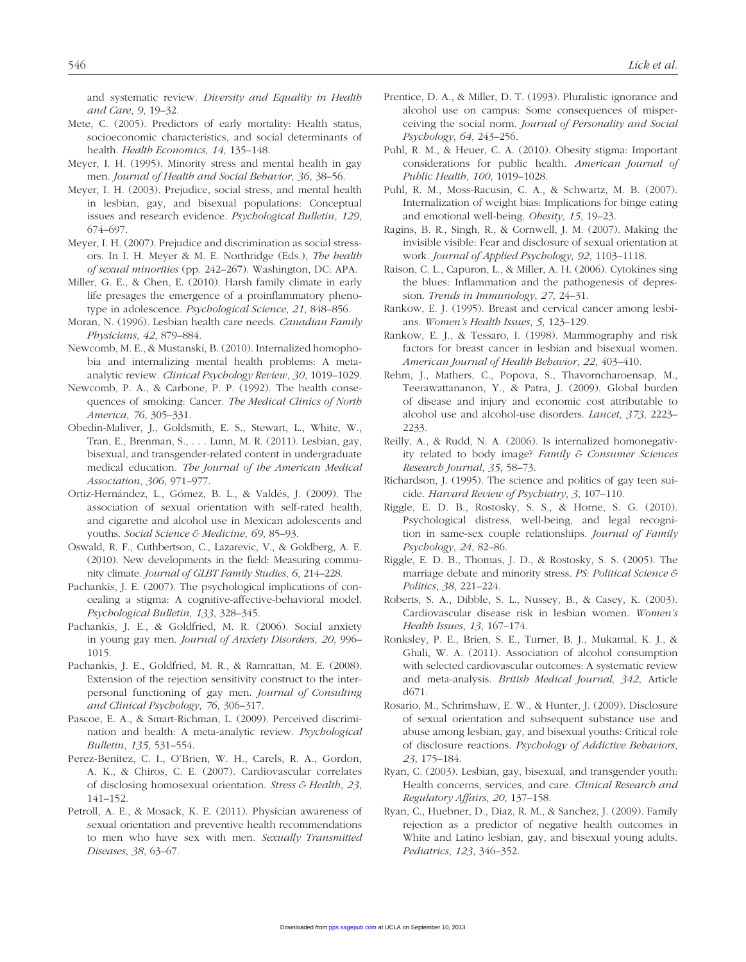and systematic review. *Diversity and Equality in Health and Care*, *9*, 19–32.

- Mete, C. (2005). Predictors of early mortality: Health status, socioeconomic characteristics, and social determinants of health. *Health Economics*, *14*, 135–148.
- Meyer, I. H. (1995). Minority stress and mental health in gay men. *Journal of Health and Social Behavior*, *36*, 38–56.
- Meyer, I. H. (2003). Prejudice, social stress, and mental health in lesbian, gay, and bisexual populations: Conceptual issues and research evidence. *Psychological Bulletin*, *129*, 674–697.
- Meyer, I. H. (2007). Prejudice and discrimination as social stressors. In I. H. Meyer & M. E. Northridge (Eds.), *The health of sexual minorities* (pp. 242–267). Washington, DC: APA.
- Miller, G. E., & Chen, E. (2010). Harsh family climate in early life presages the emergence of a proinflammatory phenotype in adolescence. *Psychological Science*, *21*, 848–856.
- Moran, N. (1996). Lesbian health care needs. *Canadian Family Physicians*, *42*, 879–884.
- Newcomb, M. E., & Mustanski, B. (2010). Internalized homophobia and internalizing mental health problems: A metaanalytic review. *Clinical Psychology Review*, *30*, 1019–1029.
- Newcomb, P. A., & Carbone, P. P. (1992). The health consequences of smoking: Cancer. *The Medical Clinics of North America*, *76*, 305–331.
- Obedin-Maliver, J., Goldsmith, E. S., Stewart, L., White, W., Tran, E., Brenman, S., . . . Lunn, M. R. (2011). Lesbian, gay, bisexual, and transgender-related content in undergraduate medical education. *The Journal of the American Medical Association*, *306*, 971–977.
- Ortiz-Hernández, L., Gómez, B. L., & Valdés, J. (2009). The association of sexual orientation with self-rated health, and cigarette and alcohol use in Mexican adolescents and youths. *Social Science & Medicine*, *69*, 85–93.
- Oswald, R. F., Cuthbertson, C., Lazarevic, V., & Goldberg, A. E. (2010). New developments in the field: Measuring community climate. *Journal of GLBT Family Studies*, *6*, 214–228.
- Pachankis, J. E. (2007). The psychological implications of concealing a stigma: A cognitive-affective-behavioral model. *Psychological Bulletin*, *133*, 328–345.
- Pachankis, J. E., & Goldfried, M. R. (2006). Social anxiety in young gay men. *Journal of Anxiety Disorders*, *20*, 996– 1015.
- Pachankis, J. E., Goldfried, M. R., & Ramrattan, M. E. (2008). Extension of the rejection sensitivity construct to the interpersonal functioning of gay men. *Journal of Consulting and Clinical Psychology*, *76*, 306–317.
- Pascoe, E. A., & Smart-Richman, L. (2009). Perceived discrimination and health: A meta-analytic review. *Psychological Bulletin*, *135*, 531–554.
- Perez-Benitez, C. I., O'Brien, W. H., Carels, R. A., Gordon, A. K., & Chiros, C. E. (2007). Cardiovascular correlates of disclosing homosexual orientation. *Stress & Health*, *23*, 141–152.
- Petroll, A. E., & Mosack, K. E. (2011). Physician awareness of sexual orientation and preventive health recommendations to men who have sex with men. *Sexually Transmitted Diseases*, *38*, 63–67.
- Prentice, D. A., & Miller, D. T. (1993). Pluralistic ignorance and alcohol use on campus: Some consequences of misperceiving the social norm. *Journal of Personality and Social Psychology*, *64*, 243–256.
- Puhl, R. M., & Heuer, C. A. (2010). Obesity stigma: Important considerations for public health. *American Journal of Public Health*, *100*, 1019–1028.
- Puhl, R. M., Moss-Racusin, C. A., & Schwartz, M. B. (2007). Internalization of weight bias: Implications for binge eating and emotional well-being. *Obesity*, *15*, 19–23.
- Ragins, B. R., Singh, R., & Cornwell, J. M. (2007). Making the invisible visible: Fear and disclosure of sexual orientation at work. *Journal of Applied Psychology*, *92*, 1103–1118.
- Raison, C. L., Capuron, L., & Miller, A. H. (2006). Cytokines sing the blues: Inflammation and the pathogenesis of depression. *Trends in Immunology*, *27*, 24–31.
- Rankow, E. J. (1995). Breast and cervical cancer among lesbians. *Women's Health Issues*, *5*, 123–129.
- Rankow, E. J., & Tessaro, I. (1998). Mammography and risk factors for breast cancer in lesbian and bisexual women. *American Journal of Health Behavior*, *22*, 403–410.
- Rehm, J., Mathers, C., Popova, S., Thavorncharoensap, M., Teerawattananon, Y., & Patra, J. (2009). Global burden of disease and injury and economic cost attributable to alcohol use and alcohol-use disorders. *Lancet*, *373*, 2223– 2233.
- Reilly, A., & Rudd, N. A. (2006). Is internalized homonegativity related to body image? *Family & Consumer Sciences Research Journal*, *35*, 58–73.
- Richardson, J. (1995). The science and politics of gay teen suicide. *Harvard Review of Psychiatry*, *3*, 107–110.
- Riggle, E. D. B., Rostosky, S. S., & Horne, S. G. (2010). Psychological distress, well-being, and legal recognition in same-sex couple relationships. *Journal of Family Psychology*, *24*, 82–86.
- Riggle, E. D. B., Thomas, J. D., & Rostosky, S. S. (2005). The marriage debate and minority stress. *PS: Political Science & Politics*, *38*, 221–224.
- Roberts, S. A., Dibble, S. L., Nussey, B., & Casey, K. (2003). Cardiovascular disease risk in lesbian women. *Women's Health Issues*, *13*, 167–174.
- Ronksley, P. E., Brien, S. E., Turner, B. J., Mukamal, K. J., & Ghali, W. A. (2011). Association of alcohol consumption with selected cardiovascular outcomes: A systematic review and meta-analysis. *British Medical Journal, 342*, Article d671.
- Rosario, M., Schrimshaw, E. W., & Hunter, J. (2009). Disclosure of sexual orientation and subsequent substance use and abuse among lesbian, gay, and bisexual youths: Critical role of disclosure reactions. *Psychology of Addictive Behaviors*, *23*, 175–184.
- Ryan, C. (2003). Lesbian, gay, bisexual, and transgender youth: Health concerns, services, and care. *Clinical Research and Regulatory Affairs*, *20*, 137–158.
- Ryan, C., Huebner, D., Diaz, R. M., & Sanchez, J. (2009). Family rejection as a predictor of negative health outcomes in White and Latino lesbian, gay, and bisexual young adults. *Pediatrics*, *123*, 346–352.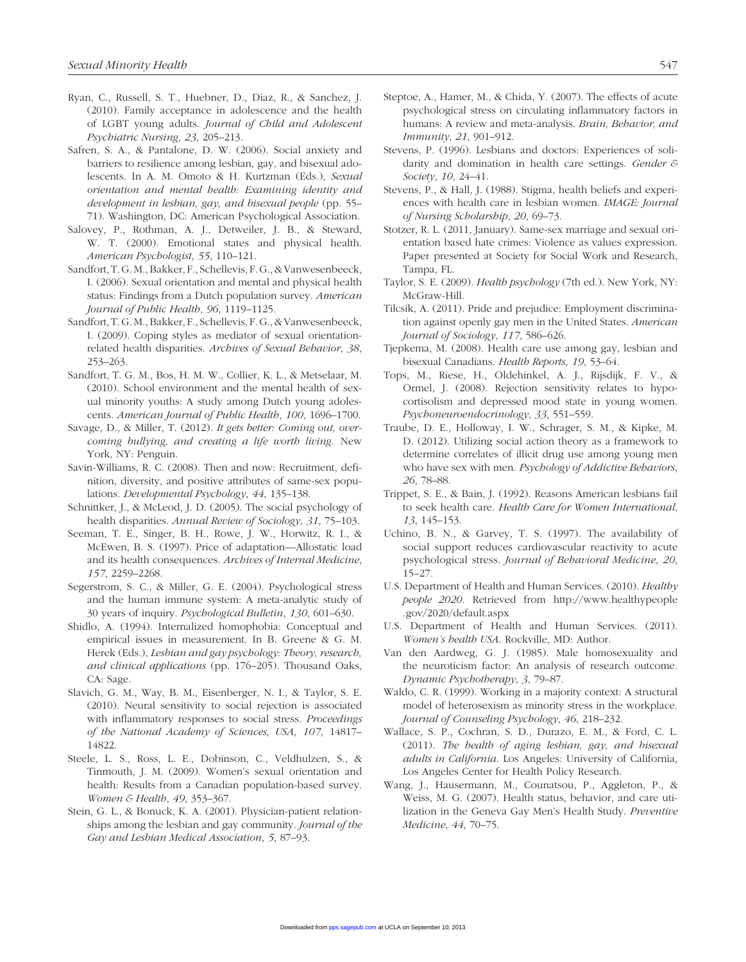- Ryan, C., Russell, S. T., Huebner, D., Diaz, R., & Sanchez, J. (2010). Family acceptance in adolescence and the health of LGBT young adults. *Journal of Child and Adolescent Psychiatric Nursing*, *23*, 205–213.
- Safren, S. A., & Pantalone, D. W. (2006). Social anxiety and barriers to resilience among lesbian, gay, and bisexual adolescents. In A. M. Omoto & H. Kurtzman (Eds.), *Sexual orientation and mental health: Examining identity and development in lesbian, gay, and bisexual people* (pp. 55– 71). Washington, DC: American Psychological Association.
- Salovey, P., Rothman, A. J., Detweiler, J. B., & Steward, W. T. (2000). Emotional states and physical health. *American Psychologist*, *55*, 110–121.
- Sandfort, T. G. M., Bakker, F., Schellevis, F. G., & Vanwesenbeeck, I. (2006). Sexual orientation and mental and physical health status: Findings from a Dutch population survey. *American Journal of Public Health*, *96*, 1119–1125.
- Sandfort, T. G. M., Bakker, F., Schellevis, F. G., & Vanwesenbeeck, I. (2009). Coping styles as mediator of sexual orientationrelated health disparities. *Archives of Sexual Behavior*, *38*, 253–263.
- Sandfort, T. G. M., Bos, H. M. W., Collier, K. L., & Metselaar, M. (2010). School environment and the mental health of sexual minority youths: A study among Dutch young adolescents. *American Journal of Public Health*, *100*, 1696–1700.
- Savage, D., & Miller, T. (2012). *It gets better: Coming out, overcoming bullying, and creating a life worth living*. New York, NY: Penguin.
- Savin-Williams, R. C. (2008). Then and now: Recruitment, definition, diversity, and positive attributes of same-sex populations. *Developmental Psychology*, *44*, 135–138.
- Schnittker, J., & McLeod, J. D. (2005). The social psychology of health disparities. *Annual Review of Sociology*, *31*, 75–103.
- Seeman, T. E., Singer, B. H., Rowe, J. W., Horwitz, R. I., & McEwen, B. S. (1997). Price of adaptation—Allostatic load and its health consequences. *Archives of Internal Medicine*, *157*, 2259–2268.
- Segerstrom, S. C., & Miller, G. E. (2004). Psychological stress and the human immune system: A meta-analytic study of 30 years of inquiry. *Psychological Bulletin*, *130*, 601–630.
- Shidlo, A. (1994). Internalized homophobia: Conceptual and empirical issues in measurement. In B. Greene & G. M. Herek (Eds.), *Lesbian and gay psychology: Theory, research, and clinical applications* (pp. 176–205). Thousand Oaks, CA: Sage.
- Slavich, G. M., Way, B. M., Eisenberger, N. I., & Taylor, S. E. (2010). Neural sensitivity to social rejection is associated with inflammatory responses to social stress. *Proceedings of the National Academy of Sciences, USA*, *107*, 14817– 14822.
- Steele, L. S., Ross, L. E., Dobinson, C., Veldhulzen, S., & Tinmouth, J. M. (2009). Women's sexual orientation and health: Results from a Canadian population-based survey. *Women & Health*, *49*, 353–367.
- Stein, G. L., & Bonuck, K. A. (2001). Physician-patient relationships among the lesbian and gay community. *Journal of the Gay and Lesbian Medical Association*, *5*, 87–93.
- Steptoe, A., Hamer, M., & Chida, Y. (2007). The effects of acute psychological stress on circulating inflammatory factors in humans: A review and meta-analysis. *Brain, Behavior, and Immunity*, *21*, 901–912.
- Stevens, P. (1996). Lesbians and doctors: Experiences of solidarity and domination in health care settings. *Gender & Society*, *10*, 24–41.
- Stevens, P., & Hall, J. (1988). Stigma, health beliefs and experiences with health care in lesbian women. *IMAGE: Journal of Nursing Scholarship*, *20*, 69–73.
- Stotzer, R. L. (2011, January). Same-sex marriage and sexual orientation based hate crimes: Violence as values expression. Paper presented at Society for Social Work and Research, Tampa, FL.
- Taylor, S. E. (2009). *Health psychology* (7th ed.). New York, NY: McGraw-Hill.
- Tilcsik, A. (2011). Pride and prejudice: Employment discrimination against openly gay men in the United States. *American Journal of Sociology*, *117*, 586–626.
- Tjepkema, M. (2008). Health care use among gay, lesbian and bisexual Canadians. *Health Reports*, *19*, 53–64.
- Tops, M., Riese, H., Oldehinkel, A. J., Rijsdijk, F. V., & Ormel, J. (2008). Rejection sensitivity relates to hypocortisolism and depressed mood state in young women. *Psychoneuroendocrinology*, *33*, 551–559.
- Traube, D. E., Holloway, I. W., Schrager, S. M., & Kipke, M. D. (2012). Utilizing social action theory as a framework to determine correlates of illicit drug use among young men who have sex with men. *Psychology of Addictive Behaviors*, *26*, 78–88.
- Trippet, S. E., & Bain, J. (1992). Reasons American lesbians fail to seek health care. *Health Care for Women International*, *13*, 145–153.
- Uchino, B. N., & Garvey, T. S. (1997). The availability of social support reduces cardiovascular reactivity to acute psychological stress. *Journal of Behavioral Medicine*, *20*, 15–27.
- U.S. Department of Health and Human Services. (2010). *Healthy people 2020*[. Retrieved from http://www.healthypeople](http://www.healthypeople.gov/2020/default.aspx) .gov/2020/default.aspx
- U.S. Department of Health and Human Services. (2011). *Women's health USA*. Rockville, MD: Author.
- Van den Aardweg, G. J. (1985). Male homosexuality and the neuroticism factor: An analysis of research outcome. *Dynamic Psychotherapy*, *3*, 79–87.
- Waldo, C. R. (1999). Working in a majority context: A structural model of heterosexism as minority stress in the workplace. *Journal of Counseling Psychology*, *46*, 218–232.
- Wallace, S. P., Cochran, S. D., Durazo, E. M., & Ford, C. L. (2011). *The health of aging lesbian, gay, and bisexual adults in California*. Los Angeles: University of California, Los Angeles Center for Health Policy Research.
- Wang, J., Hausermann, M., Counatsou, P., Aggleton, P., & Weiss, M. G. (2007). Health status, behavior, and care utilization in the Geneva Gay Men's Health Study. *Preventive Medicine*, *44*, 70–75.